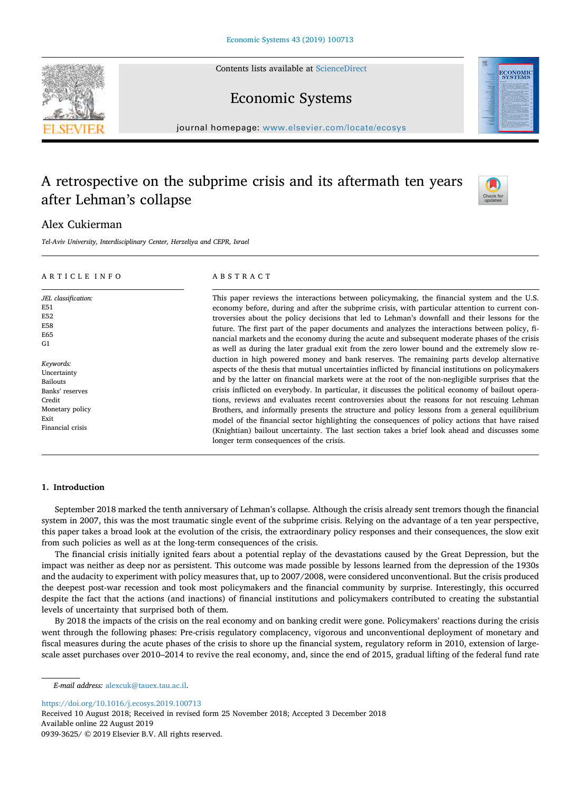Contents lists available at [ScienceDirect](http://www.sciencedirect.com/science/journal/09393625)





Economic Systems

journal homepage: [www.elsevier.com/locate/ecosys](https://www.elsevier.com/locate/ecosys)

# A retrospective on the subprime crisis and its aftermath ten years after Lehman's collapse

# Alex Cukierman

*Tel-Aviv University, Interdisciplinary Center, Herzeliya and CEPR, Israel*

| ARTICLE INFO                                                                                                     | ABSTRACT                                                                                                                                                                                                                                                                                                                                                                                                                                                                                                                                                                                                                                                                                                                                                                                                                                                |
|------------------------------------------------------------------------------------------------------------------|---------------------------------------------------------------------------------------------------------------------------------------------------------------------------------------------------------------------------------------------------------------------------------------------------------------------------------------------------------------------------------------------------------------------------------------------------------------------------------------------------------------------------------------------------------------------------------------------------------------------------------------------------------------------------------------------------------------------------------------------------------------------------------------------------------------------------------------------------------|
| JEL classification:<br>E51<br>E52<br>E58<br>E65<br>G1                                                            | This paper reviews the interactions between policymaking, the financial system and the U.S.<br>economy before, during and after the subprime crisis, with particular attention to current con-<br>troversies about the policy decisions that led to Lehman's downfall and their lessons for the<br>future. The first part of the paper documents and analyzes the interactions between policy, fi-<br>nancial markets and the economy during the acute and subsequent moderate phases of the crisis<br>as well as during the later gradual exit from the zero lower bound and the extremely slow re-                                                                                                                                                                                                                                                    |
| Keywords:<br>Uncertainty<br>Bailouts<br>Banks' reserves<br>Credit<br>Monetary policy<br>Exit<br>Financial crisis | duction in high powered money and bank reserves. The remaining parts develop alternative<br>aspects of the thesis that mutual uncertainties inflicted by financial institutions on policymakers<br>and by the latter on financial markets were at the root of the non-negligible surprises that the<br>crisis inflicted on everybody. In particular, it discusses the political economy of bailout opera-<br>tions, reviews and evaluates recent controversies about the reasons for not rescuing Lehman<br>Brothers, and informally presents the structure and policy lessons from a general equilibrium<br>model of the financial sector highlighting the consequences of policy actions that have raised<br>(Knightian) bailout uncertainty. The last section takes a brief look ahead and discusses some<br>longer term consequences of the crisis. |

# **1. Introduction**

September 2018 marked the tenth anniversary of Lehman's collapse. Although the crisis already sent tremors though the financial system in 2007, this was the most traumatic single event of the subprime crisis. Relying on the advantage of a ten year perspective, this paper takes a broad look at the evolution of the crisis, the extraordinary policy responses and their consequences, the slow exit from such policies as well as at the long-term consequences of the crisis.

The financial crisis initially ignited fears about a potential replay of the devastations caused by the Great Depression, but the impact was neither as deep nor as persistent. This outcome was made possible by lessons learned from the depression of the 1930s and the audacity to experiment with policy measures that, up to 2007/2008, were considered unconventional. But the crisis produced the deepest post-war recession and took most policymakers and the financial community by surprise. Interestingly, this occurred despite the fact that the actions (and inactions) of financial institutions and policymakers contributed to creating the substantial levels of uncertainty that surprised both of them.

By 2018 the impacts of the crisis on the real economy and on banking credit were gone. Policymakers' reactions during the crisis went through the following phases: Pre-crisis regulatory complacency, vigorous and unconventional deployment of monetary and fiscal measures during the acute phases of the crisis to shore up the financial system, regulatory reform in 2010, extension of largescale asset purchases over 2010–2014 to revive the real economy, and, since the end of 2015, gradual lifting of the federal fund rate

<https://doi.org/10.1016/j.ecosys.2019.100713>

Received 10 August 2018; Received in revised form 25 November 2018; Accepted 3 December 2018 Available online 22 August 2019 0939-3625/ © 2019 Elsevier B.V. All rights reserved.



*E-mail address:* [alexcuk@tauex.tau.ac.il.](mailto:alexcuk@tauex.tau.ac.il)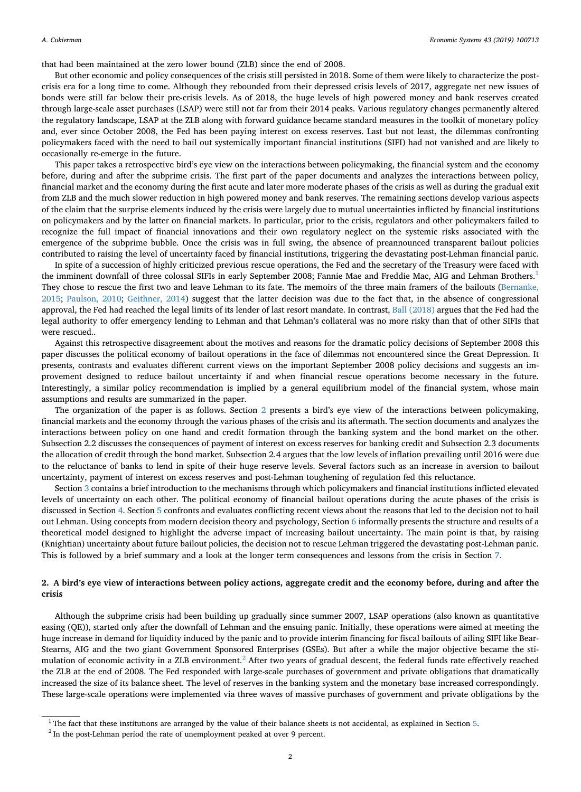that had been maintained at the zero lower bound (ZLB) since the end of 2008.

But other economic and policy consequences of the crisis still persisted in 2018. Some of them were likely to characterize the postcrisis era for a long time to come. Although they rebounded from their depressed crisis levels of 2017, aggregate net new issues of bonds were still far below their pre-crisis levels. As of 2018, the huge levels of high powered money and bank reserves created through large-scale asset purchases (LSAP) were still not far from their 2014 peaks. Various regulatory changes permanently altered the regulatory landscape, LSAP at the ZLB along with forward guidance became standard measures in the toolkit of monetary policy and, ever since October 2008, the Fed has been paying interest on excess reserves. Last but not least, the dilemmas confronting policymakers faced with the need to bail out systemically important financial institutions (SIFI) had not vanished and are likely to occasionally re-emerge in the future.

This paper takes a retrospective bird's eye view on the interactions between policymaking, the financial system and the economy before, during and after the subprime crisis. The first part of the paper documents and analyzes the interactions between policy, financial market and the economy during the first acute and later more moderate phases of the crisis as well as during the gradual exit from ZLB and the much slower reduction in high powered money and bank reserves. The remaining sections develop various aspects of the claim that the surprise elements induced by the crisis were largely due to mutual uncertainties inflicted by financial institutions on policymakers and by the latter on financial markets. In particular, prior to the crisis, regulators and other policymakers failed to recognize the full impact of financial innovations and their own regulatory neglect on the systemic risks associated with the emergence of the subprime bubble. Once the crisis was in full swing, the absence of preannounced transparent bailout policies contributed to raising the level of uncertainty faced by financial institutions, triggering the devastating post-Lehman financial panic.

In spite of a succession of highly criticized previous rescue operations, the Fed and the secretary of the Treasury were faced with the imminent downfall of three colossal SIFIs in early September 2008; Fannie Mae and Freddie Mac, AIG and Lehman Brothers.<sup>[1](#page-1-0)</sup> They chose to rescue the first two and leave Lehman to its fate. The memoirs of the three main framers of the bailouts ([Bernanke,](#page-19-0) [2015;](#page-19-0) [Paulson, 2010;](#page-19-1) [Geithner, 2014\)](#page-19-2) suggest that the latter decision was due to the fact that, in the absence of congressional approval, the Fed had reached the legal limits of its lender of last resort mandate. In contrast, [Ball \(2018\)](#page-19-3) argues that the Fed had the legal authority to offer emergency lending to Lehman and that Lehman's collateral was no more risky than that of other SIFIs that were rescued..

Against this retrospective disagreement about the motives and reasons for the dramatic policy decisions of September 2008 this paper discusses the political economy of bailout operations in the face of dilemmas not encountered since the Great Depression. It presents, contrasts and evaluates different current views on the important September 2008 policy decisions and suggests an improvement designed to reduce bailout uncertainty if and when financial rescue operations become necessary in the future. Interestingly, a similar policy recommendation is implied by a general equilibrium model of the financial system, whose main assumptions and results are summarized in the paper.

The organization of the paper is as follows. Section [2](#page-1-1) presents a bird's eye view of the interactions between policymaking, financial markets and the economy through the various phases of the crisis and its aftermath. The section documents and analyzes the interactions between policy on one hand and credit formation through the banking system and the bond market on the other. Subsection 2.2 discusses the consequences of payment of interest on excess reserves for banking credit and Subsection 2.3 documents the allocation of credit through the bond market. Subsection 2.4 argues that the low levels of inflation prevailing until 2016 were due to the reluctance of banks to lend in spite of their huge reserve levels. Several factors such as an increase in aversion to bailout uncertainty, payment of interest on excess reserves and post-Lehman toughening of regulation fed this reluctance.

Section [3](#page-10-0) contains a brief introduction to the mechanisms through which policymakers and financial institutions inflicted elevated levels of uncertainty on each other. The political economy of financial bailout operations during the acute phases of the crisis is discussed in Section [4](#page-11-0). Section [5](#page-13-0) confronts and evaluates conflicting recent views about the reasons that led to the decision not to bail out Lehman. Using concepts from modern decision theory and psychology, Section [6](#page-15-0) informally presents the structure and results of a theoretical model designed to highlight the adverse impact of increasing bailout uncertainty. The main point is that, by raising (Knightian) uncertainty about future bailout policies, the decision not to rescue Lehman triggered the devastating post-Lehman panic. This is followed by a brief summary and a look at the longer term consequences and lessons from the crisis in Section [7](#page-17-0).

# <span id="page-1-1"></span>**2. A bird's eye view of interactions between policy actions, aggregate credit and the economy before, during and after the crisis**

Although the subprime crisis had been building up gradually since summer 2007, LSAP operations (also known as quantitative easing (QE)), started only after the downfall of Lehman and the ensuing panic. Initially, these operations were aimed at meeting the huge increase in demand for liquidity induced by the panic and to provide interim financing for fiscal bailouts of ailing SIFI like Bear-Stearns, AIG and the two giant Government Sponsored Enterprises (GSEs). But after a while the major objective became the sti-mulation of economic activity in a ZLB environment.<sup>[2](#page-1-2)</sup> After two years of gradual descent, the federal funds rate effectively reached the ZLB at the end of 2008. The Fed responded with large-scale purchases of government and private obligations that dramatically increased the size of its balance sheet. The level of reserves in the banking system and the monetary base increased correspondingly. These large-scale operations were implemented via three waves of massive purchases of government and private obligations by the

<span id="page-1-0"></span> $1$  The fact that these institutions are arranged by the value of their balance sheets is not accidental, as explained in Section [5](#page-13-0).

<span id="page-1-2"></span><sup>&</sup>lt;sup>2</sup> In the post-Lehman period the rate of unemployment peaked at over 9 percent.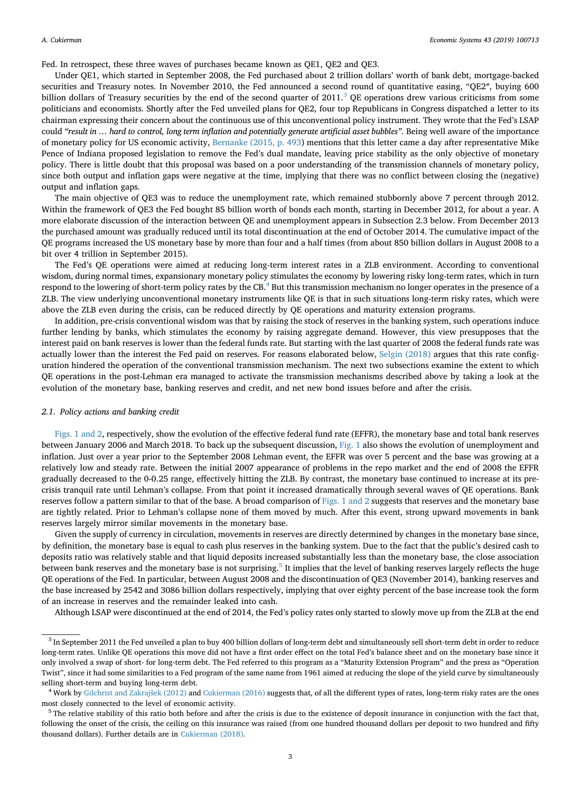# Fed. In retrospect, these three waves of purchases became known as QE1, QE2 and QE3.

Under QE1, which started in September 2008, the Fed purchased about 2 trillion dollars' worth of bank debt, mortgage-backed securities and Treasury notes. In November 2010, the Fed announced a second round of quantitative easing, "QE2″, buying 600 billion dollars of Treasury securities by the end of the second quarter of  $2011$ .<sup>[3](#page-2-0)</sup> QE operations drew various criticisms from some politicians and economists. Shortly after the Fed unveiled plans for QE2, four top Republicans in Congress dispatched a letter to its chairman expressing their concern about the continuous use of this unconventional policy instrument. They wrote that the Fed's LSAP could *"result in … hard to control, long term inflation and potentially generate artificial asset bubbles".* Being well aware of the importance of monetary policy for US economic activity, [Bernanke \(2015, p. 493](#page-19-0)) mentions that this letter came a day after representative Mike Pence of Indiana proposed legislation to remove the Fed's dual mandate, leaving price stability as the only objective of monetary policy. There is little doubt that this proposal was based on a poor understanding of the transmission channels of monetary policy, since both output and inflation gaps were negative at the time, implying that there was no conflict between closing the (negative) output and inflation gaps.

The main objective of QE3 was to reduce the unemployment rate, which remained stubbornly above 7 percent through 2012. Within the framework of QE3 the Fed bought 85 billion worth of bonds each month, starting in December 2012, for about a year. A more elaborate discussion of the interaction between QE and unemployment appears in Subsection 2.3 below. From December 2013 the purchased amount was gradually reduced until its total discontinuation at the end of October 2014. The cumulative impact of the QE programs increased the US monetary base by more than four and a half times (from about 850 billion dollars in August 2008 to a bit over 4 trillion in September 2015).

The Fed's QE operations were aimed at reducing long-term interest rates in a ZLB environment. According to conventional wisdom, during normal times, expansionary monetary policy stimulates the economy by lowering risky long-term rates, which in turn respond to the lowering of short-term policy rates by the CB.<sup>4</sup> But this transmission mechanism no longer operates in the presence of a ZLB. The view underlying unconventional monetary instruments like QE is that in such situations long-term risky rates, which were above the ZLB even during the crisis, can be reduced directly by QE operations and maturity extension programs.

In addition, pre-crisis conventional wisdom was that by raising the stock of reserves in the banking system, such operations induce further lending by banks, which stimulates the economy by raising aggregate demand. However, this view presupposes that the interest paid on bank reserves is lower than the federal funds rate. But starting with the last quarter of 2008 the federal funds rate was actually lower than the interest the Fed paid on reserves. For reasons elaborated below, [Selgin \(2018\)](#page-19-4) argues that this rate configuration hindered the operation of the conventional transmission mechanism. The next two subsections examine the extent to which QE operations in the post-Lehman era managed to activate the transmission mechanisms described above by taking a look at the evolution of the monetary base, banking reserves and credit, and net new bond issues before and after the crisis.

#### *2.1. Policy actions and banking credit*

[Figs. 1 and 2,](#page-3-0) respectively, show the evolution of the effective federal fund rate (EFFR), the monetary base and total bank reserves between January 2006 and March 2018. To back up the subsequent discussion, [Fig. 1](#page-3-0) also shows the evolution of unemployment and inflation. Just over a year prior to the September 2008 Lehman event, the EFFR was over 5 percent and the base was growing at a relatively low and steady rate. Between the initial 2007 appearance of problems in the repo market and the end of 2008 the EFFR gradually decreased to the 0-0.25 range, effectively hitting the ZLB. By contrast, the monetary base continued to increase at its precrisis tranquil rate until Lehman's collapse. From that point it increased dramatically through several waves of QE operations. Bank reserves follow a pattern similar to that of the base. A broad comparison of [Figs. 1 and 2](#page-3-0) suggests that reserves and the monetary base are tightly related. Prior to Lehman's collapse none of them moved by much. After this event, strong upward movements in bank reserves largely mirror similar movements in the monetary base.

Given the supply of currency in circulation, movements in reserves are directly determined by changes in the monetary base since, by definition, the monetary base is equal to cash plus reserves in the banking system. Due to the fact that the public's desired cash to deposits ratio was relatively stable and that liquid deposits increased substantially less than the monetary base, the close association between bank reserves and the monetary base is not surprising.<sup>[5](#page-2-2)</sup> It implies that the level of banking reserves largely reflects the huge QE operations of the Fed. In particular, between August 2008 and the discontinuation of QE3 (November 2014), banking reserves and the base increased by 2542 and 3086 billion dollars respectively, implying that over eighty percent of the base increase took the form of an increase in reserves and the remainder leaked into cash.

Although LSAP were discontinued at the end of 2014, the Fed's policy rates only started to slowly move up from the ZLB at the end

<span id="page-2-0"></span><sup>3</sup> In September 2011 the Fed unveiled a plan to buy 400 billion dollars of long-term debt and simultaneously sell short-term debt in order to reduce long-term rates. Unlike QE operations this move did not have a first order effect on the total Fed's balance sheet and on the monetary base since it only involved a swap of short- for long-term debt. The Fed referred to this program as a "Maturity Extension Program" and the press as "Operation Twist", since it had some similarities to a Fed program of the same name from 1961 aimed at reducing the slope of the yield curve by simultaneously selling short-term and buying long-term debt.

<span id="page-2-1"></span><sup>&</sup>lt;sup>4</sup> Work by [Gilchrist and Zakrajšek \(2012\)](#page-19-5) and [Cukierman \(2016\)](#page-19-6) suggests that, of all the different types of rates, long-term risky rates are the ones most closely connected to the level of economic activity.

<span id="page-2-2"></span> $5$  The relative stability of this ratio both before and after the crisis is due to the existence of deposit insurance in conjunction with the fact that, following the onset of the crisis, the ceiling on this insurance was raised (from one hundred thousand dollars per deposit to two hundred and fifty thousand dollars). Further details are in [Cukierman \(2018\)](#page-19-7).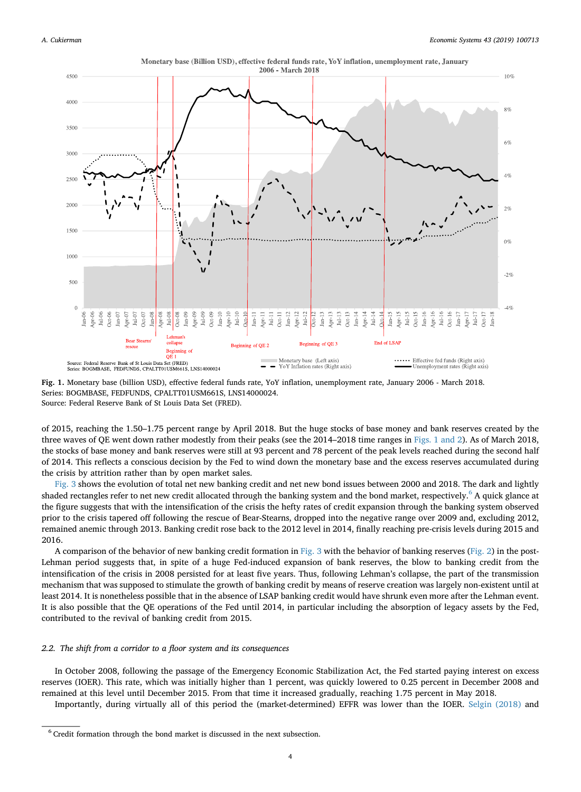<span id="page-3-0"></span>

**Fig. 1.** Monetary base (billion USD), effective federal funds rate, YoY inflation, unemployment rate, January 2006 - March 2018. Series: BOGMBASE, FEDFUNDS, CPALTT01USM661S, LNS14000024. Source: Federal Reserve Bank of St Louis Data Set (FRED).

of 2015, reaching the 1.50–1.75 percent range by April 2018. But the huge stocks of base money and bank reserves created by the three waves of QE went down rather modestly from their peaks (see the 2014–2018 time ranges in [Figs. 1 and 2](#page-3-0)). As of March 2018, the stocks of base money and bank reserves were still at 93 percent and 78 percent of the peak levels reached during the second half of 2014. This reflects a conscious decision by the Fed to wind down the monetary base and the excess reserves accumulated during the crisis by attrition rather than by open market sales.

[Fig. 3](#page-4-0) shows the evolution of total net new banking credit and net new bond issues between 2000 and 2018. The dark and lightly shaded rectangles refer to net new credit allocated through the banking system and the bond market, respectively.<sup>6</sup> A quick glance at the figure suggests that with the intensification of the crisis the hefty rates of credit expansion through the banking system observed prior to the crisis tapered off following the rescue of Bear-Stearns, dropped into the negative range over 2009 and, excluding 2012, remained anemic through 2013. Banking credit rose back to the 2012 level in 2014, finally reaching pre-crisis levels during 2015 and 2016.

A comparison of the behavior of new banking credit formation in [Fig. 3](#page-4-0) with the behavior of banking reserves ([Fig. 2\)](#page-4-1) in the post-Lehman period suggests that, in spite of a huge Fed-induced expansion of bank reserves, the blow to banking credit from the intensification of the crisis in 2008 persisted for at least five years. Thus, following Lehman's collapse, the part of the transmission mechanism that was supposed to stimulate the growth of banking credit by means of reserve creation was largely non-existent until at least 2014. It is nonetheless possible that in the absence of LSAP banking credit would have shrunk even more after the Lehman event. It is also possible that the QE operations of the Fed until 2014, in particular including the absorption of legacy assets by the Fed, contributed to the revival of banking credit from 2015.

## <span id="page-3-2"></span>*2.2. The shift from a corridor to a floor system and its consequences*

In October 2008, following the passage of the Emergency Economic Stabilization Act, the Fed started paying interest on excess reserves (IOER). This rate, which was initially higher than 1 percent, was quickly lowered to 0.25 percent in December 2008 and remained at this level until December 2015. From that time it increased gradually, reaching 1.75 percent in May 2018.

Importantly, during virtually all of this period the (market-determined) EFFR was lower than the IOER. [Selgin \(2018\)](#page-19-4) and

<span id="page-3-1"></span> $6$  Credit formation through the bond market is discussed in the next subsection.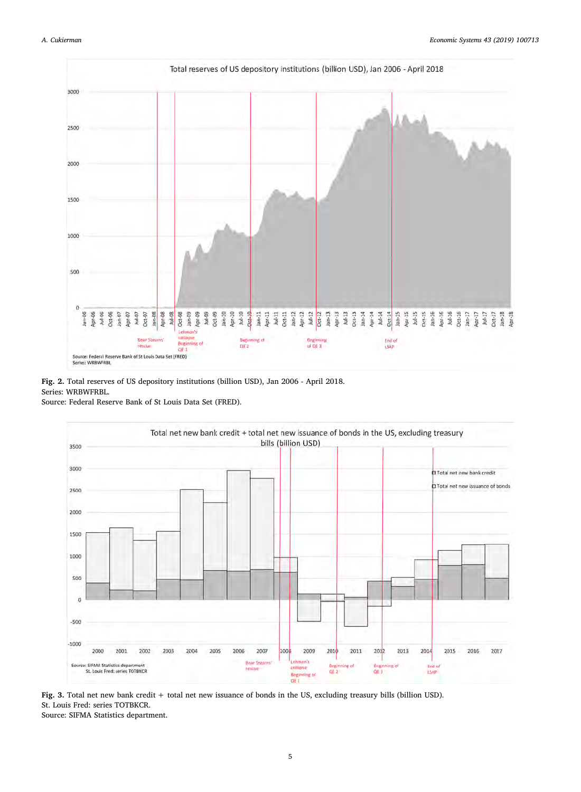<span id="page-4-1"></span>

**Fig. 2.** Total reserves of US depository institutions (billion USD), Jan 2006 - April 2018. Series: WRBWFRBL.

Source: Federal Reserve Bank of St Louis Data Set (FRED).

<span id="page-4-0"></span>

**Fig. 3.** Total net new bank credit + total net new issuance of bonds in the US, excluding treasury bills (billion USD). St. Louis Fred: series TOTBKCR. Source: SIFMA Statistics department.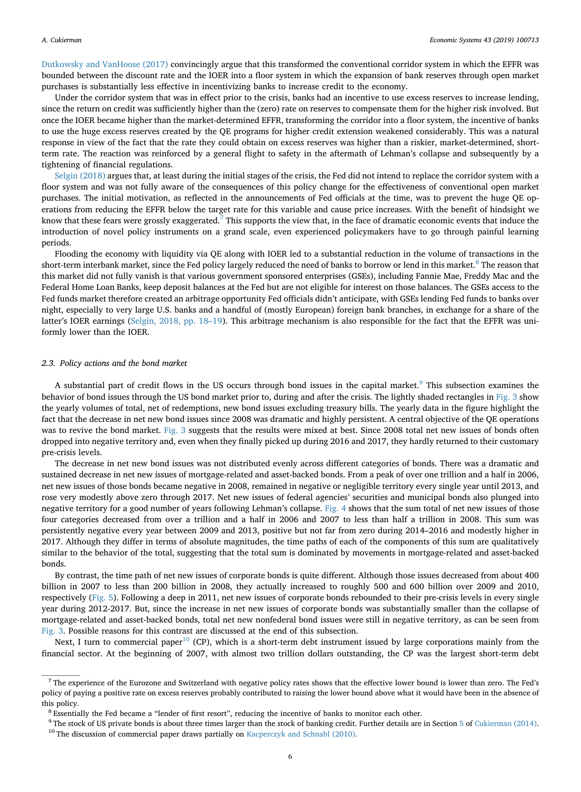[Dutkowsky and VanHoose \(2017\)](#page-19-8) convincingly argue that this transformed the conventional corridor system in which the EFFR was bounded between the discount rate and the IOER into a floor system in which the expansion of bank reserves through open market purchases is substantially less effective in incentivizing banks to increase credit to the economy.

Under the corridor system that was in effect prior to the crisis, banks had an incentive to use excess reserves to increase lending, since the return on credit was sufficiently higher than the (zero) rate on reserves to compensate them for the higher risk involved. But once the IOER became higher than the market-determined EFFR, transforming the corridor into a floor system, the incentive of banks to use the huge excess reserves created by the QE programs for higher credit extension weakened considerably. This was a natural response in view of the fact that the rate they could obtain on excess reserves was higher than a riskier, market-determined, shortterm rate. The reaction was reinforced by a general flight to safety in the aftermath of Lehman's collapse and subsequently by a tightening of financial regulations.

[Selgin \(2018\)](#page-19-4) argues that, at least during the initial stages of the crisis, the Fed did not intend to replace the corridor system with a floor system and was not fully aware of the consequences of this policy change for the effectiveness of conventional open market purchases. The initial motivation, as reflected in the announcements of Fed officials at the time, was to prevent the huge QE operations from reducing the EFFR below the target rate for this variable and cause price increases. With the benefit of hindsight we know that these fears were grossly exaggerated.<sup>[7](#page-5-0)</sup> This supports the view that, in the face of dramatic economic events that induce the introduction of novel policy instruments on a grand scale, even experienced policymakers have to go through painful learning periods.

Flooding the economy with liquidity via QE along with IOER led to a substantial reduction in the volume of transactions in the short-term interbank market, since the Fed policy largely reduced the need of banks to borrow or lend in this market.<sup>[8](#page-5-1)</sup> The reason that this market did not fully vanish is that various government sponsored enterprises (GSEs), including Fannie Mae, Freddy Mac and the Federal Home Loan Banks, keep deposit balances at the Fed but are not eligible for interest on those balances. The GSEs access to the Fed funds market therefore created an arbitrage opportunity Fed officials didn't anticipate, with GSEs lending Fed funds to banks over night, especially to very large U.S. banks and a handful of (mostly European) foreign bank branches, in exchange for a share of the latter's IOER earnings ([Selgin, 2018, pp. 18–19](#page-19-4)). This arbitrage mechanism is also responsible for the fact that the EFFR was uniformly lower than the IOER.

### *2.3. Policy actions and the bond market*

A substantial part of credit flows in the US occurs through bond issues in the capital market.<sup>9</sup> This subsection examines the behavior of bond issues through the US bond market prior to, during and after the crisis. The lightly shaded rectangles in [Fig. 3](#page-4-0) show the yearly volumes of total, net of redemptions, new bond issues excluding treasury bills. The yearly data in the figure highlight the fact that the decrease in net new bond issues since 2008 was dramatic and highly persistent. A central objective of the QE operations was to revive the bond market. [Fig. 3](#page-4-0) suggests that the results were mixed at best. Since 2008 total net new issues of bonds often dropped into negative territory and, even when they finally picked up during 2016 and 2017, they hardly returned to their customary pre-crisis levels.

The decrease in net new bond issues was not distributed evenly across different categories of bonds. There was a dramatic and sustained decrease in net new issues of mortgage-related and asset-backed bonds. From a peak of over one trillion and a half in 2006, net new issues of those bonds became negative in 2008, remained in negative or negligible territory every single year until 2013, and rose very modestly above zero through 2017. Net new issues of federal agencies' securities and municipal bonds also plunged into negative territory for a good number of years following Lehman's collapse. [Fig. 4](#page-6-0) shows that the sum total of net new issues of those four categories decreased from over a trillion and a half in 2006 and 2007 to less than half a trillion in 2008. This sum was persistently negative every year between 2009 and 2013, positive but not far from zero during 2014–2016 and modestly higher in 2017. Although they differ in terms of absolute magnitudes, the time paths of each of the components of this sum are qualitatively similar to the behavior of the total, suggesting that the total sum is dominated by movements in mortgage-related and asset-backed bonds.

By contrast, the time path of net new issues of corporate bonds is quite different. Although those issues decreased from about 400 billion in 2007 to less than 200 billion in 2008, they actually increased to roughly 500 and 600 billion over 2009 and 2010, respectively [\(Fig. 5](#page-6-1)). Following a deep in 2011, net new issues of corporate bonds rebounded to their pre-crisis levels in every single year during 2012-2017. But, since the increase in net new issues of corporate bonds was substantially smaller than the collapse of mortgage-related and asset-backed bonds, total net new nonfederal bond issues were still in negative territory, as can be seen from [Fig. 3](#page-4-0). Possible reasons for this contrast are discussed at the end of this subsection.

Next, I turn to commercial paper<sup>10</sup> (CP), which is a short-term debt instrument issued by large corporations mainly from the financial sector. At the beginning of 2007, with almost two trillion dollars outstanding, the CP was the largest short-term debt

<span id="page-5-0"></span><sup>&</sup>lt;sup>7</sup> The experience of the Eurozone and Switzerland with negative policy rates shows that the effective lower bound is lower than zero. The Fed's policy of paying a positive rate on excess reserves probably contributed to raising the lower bound above what it would have been in the absence of this policy.

<span id="page-5-1"></span><sup>8</sup> Essentially the Fed became a "lender of first resort", reducing the incentive of banks to monitor each other.

<span id="page-5-3"></span><span id="page-5-2"></span> $9$  The stock of US private bonds is about three times larger than the stock of banking credit. Further details are in Section [5](#page-13-0) of [Cukierman \(2014\)](#page-19-9). <sup>10</sup> The discussion of commercial paper draws partially on [Kacperczyk and Schnabl \(2010\)](#page-19-10).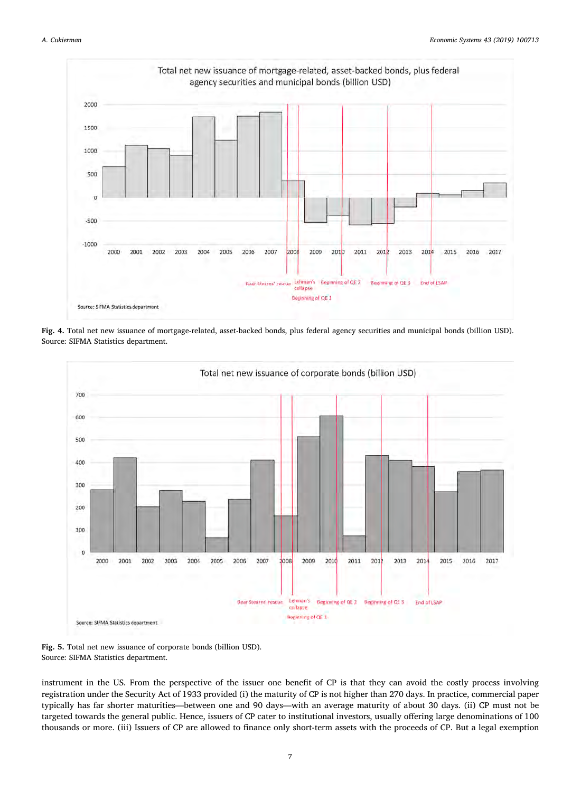<span id="page-6-0"></span>

**Fig. 4.** Total net new issuance of mortgage-related, asset-backed bonds, plus federal agency securities and municipal bonds (billion USD). Source: SIFMA Statistics department.

<span id="page-6-1"></span>

**Fig. 5.** Total net new issuance of corporate bonds (billion USD). Source: SIFMA Statistics department.

instrument in the US. From the perspective of the issuer one benefit of CP is that they can avoid the costly process involving registration under the Security Act of 1933 provided (i) the maturity of CP is not higher than 270 days. In practice, commercial paper typically has far shorter maturities—between one and 90 days—with an average maturity of about 30 days. (ii) CP must not be targeted towards the general public. Hence, issuers of CP cater to institutional investors, usually offering large denominations of 100 thousands or more. (iii) Issuers of CP are allowed to finance only short-term assets with the proceeds of CP. But a legal exemption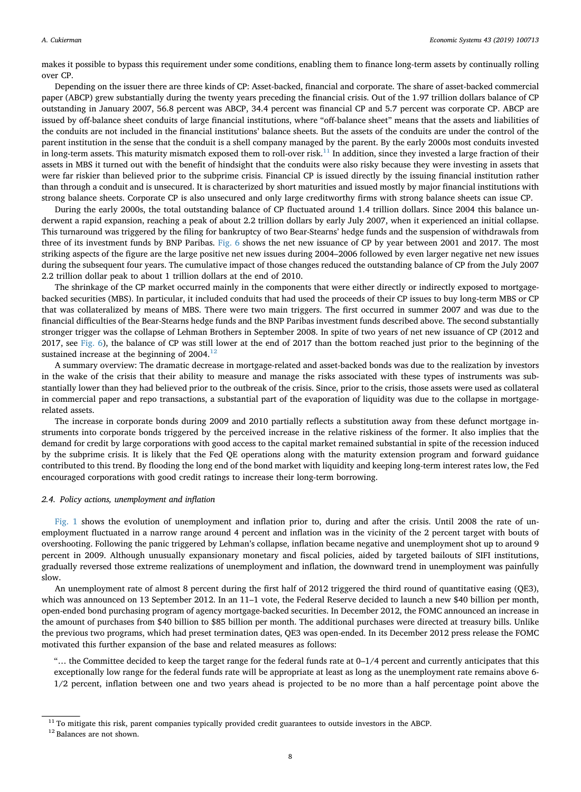makes it possible to bypass this requirement under some conditions, enabling them to finance long-term assets by continually rolling over CP.

Depending on the issuer there are three kinds of CP: Asset-backed, financial and corporate. The share of asset-backed commercial paper (ABCP) grew substantially during the twenty years preceding the financial crisis. Out of the 1.97 trillion dollars balance of CP outstanding in January 2007, 56.8 percent was ABCP, 34.4 percent was financial CP and 5.7 percent was corporate CP. ABCP are issued by off-balance sheet conduits of large financial institutions, where "off-balance sheet" means that the assets and liabilities of the conduits are not included in the financial institutions' balance sheets. But the assets of the conduits are under the control of the parent institution in the sense that the conduit is a shell company managed by the parent. By the early 2000s most conduits invested in long-term assets. This maturity mismatch exposed them to roll-over risk.<sup>[11](#page-7-0)</sup> In addition, since they invested a large fraction of their assets in MBS it turned out with the benefit of hindsight that the conduits were also risky because they were investing in assets that were far riskier than believed prior to the subprime crisis. Financial CP is issued directly by the issuing financial institution rather than through a conduit and is unsecured. It is characterized by short maturities and issued mostly by major financial institutions with strong balance sheets. Corporate CP is also unsecured and only large creditworthy firms with strong balance sheets can issue CP.

During the early 2000s, the total outstanding balance of CP fluctuated around 1.4 trillion dollars. Since 2004 this balance underwent a rapid expansion, reaching a peak of about 2.2 trillion dollars by early July 2007, when it experienced an initial collapse. This turnaround was triggered by the filing for bankruptcy of two Bear-Stearns' hedge funds and the suspension of withdrawals from three of its investment funds by BNP Paribas. [Fig. 6](#page-8-0) shows the net new issuance of CP by year between 2001 and 2017. The most striking aspects of the figure are the large positive net new issues during 2004–2006 followed by even larger negative net new issues during the subsequent four years. The cumulative impact of those changes reduced the outstanding balance of CP from the July 2007 2.2 trillion dollar peak to about 1 trillion dollars at the end of 2010.

The shrinkage of the CP market occurred mainly in the components that were either directly or indirectly exposed to mortgagebacked securities (MBS). In particular, it included conduits that had used the proceeds of their CP issues to buy long-term MBS or CP that was collateralized by means of MBS. There were two main triggers. The first occurred in summer 2007 and was due to the financial difficulties of the Bear-Stearns hedge funds and the BNP Paribas investment funds described above. The second substantially stronger trigger was the collapse of Lehman Brothers in September 2008. In spite of two years of net new issuance of CP (2012 and 2017, see [Fig. 6](#page-8-0)), the balance of CP was still lower at the end of 2017 than the bottom reached just prior to the beginning of the sustained increase at the beginning of  $2004.<sup>12</sup>$  $2004.<sup>12</sup>$  $2004.<sup>12</sup>$ 

A summary overview: The dramatic decrease in mortgage-related and asset-backed bonds was due to the realization by investors in the wake of the crisis that their ability to measure and manage the risks associated with these types of instruments was substantially lower than they had believed prior to the outbreak of the crisis. Since, prior to the crisis, those assets were used as collateral in commercial paper and repo transactions, a substantial part of the evaporation of liquidity was due to the collapse in mortgagerelated assets.

The increase in corporate bonds during 2009 and 2010 partially reflects a substitution away from these defunct mortgage instruments into corporate bonds triggered by the perceived increase in the relative riskiness of the former. It also implies that the demand for credit by large corporations with good access to the capital market remained substantial in spite of the recession induced by the subprime crisis. It is likely that the Fed QE operations along with the maturity extension program and forward guidance contributed to this trend. By flooding the long end of the bond market with liquidity and keeping long-term interest rates low, the Fed encouraged corporations with good credit ratings to increase their long-term borrowing.

### *2.4. Policy actions, unemployment and inflation*

[Fig. 1](#page-3-0) shows the evolution of unemployment and inflation prior to, during and after the crisis. Until 2008 the rate of unemployment fluctuated in a narrow range around 4 percent and inflation was in the vicinity of the 2 percent target with bouts of overshooting. Following the panic triggered by Lehman's collapse, inflation became negative and unemployment shot up to around 9 percent in 2009. Although unusually expansionary monetary and fiscal policies, aided by targeted bailouts of SIFI institutions, gradually reversed those extreme realizations of unemployment and inflation, the downward trend in unemployment was painfully slow.

An unemployment rate of almost 8 percent during the first half of 2012 triggered the third round of quantitative easing (QE3), which was announced on 13 September 2012. In an 11-1 vote, the Federal Reserve decided to launch a new \$40 billion per month, open-ended bond purchasing program of agency mortgage-backed securities. In December 2012, the FOMC announced an increase in the amount of purchases from \$40 billion to \$85 billion per month. The additional purchases were directed at treasury bills. Unlike the previous two programs, which had preset termination dates, QE3 was open-ended. In its December 2012 press release the FOMC motivated this further expansion of the base and related measures as follows:

"… the Committee decided to keep the target range for the federal funds rate at 0–1/4 percent and currently anticipates that this exceptionally low range for the federal funds rate will be appropriate at least as long as the unemployment rate remains above 6- 1/2 percent, inflation between one and two years ahead is projected to be no more than a half percentage point above the

<span id="page-7-0"></span> $11$  To mitigate this risk, parent companies typically provided credit guarantees to outside investors in the ABCP.

<span id="page-7-1"></span><sup>12</sup> Balances are not shown.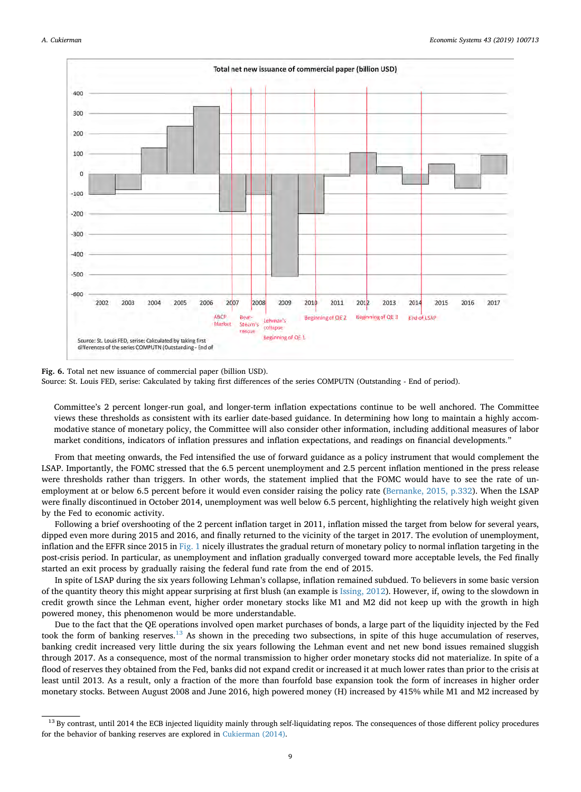<span id="page-8-0"></span>

**Fig. 6.** Total net new issuance of commercial paper (billion USD). Source: St. Louis FED, serise: Cakculated by taking first differences of the series COMPUTN (Outstanding - End of period).

Committee's 2 percent longer-run goal, and longer-term inflation expectations continue to be well anchored. The Committee views these thresholds as consistent with its earlier date-based guidance. In determining how long to maintain a highly accommodative stance of monetary policy, the Committee will also consider other information, including additional measures of labor market conditions, indicators of inflation pressures and inflation expectations, and readings on financial developments."

From that meeting onwards, the Fed intensified the use of forward guidance as a policy instrument that would complement the LSAP. Importantly, the FOMC stressed that the 6.5 percent unemployment and 2.5 percent inflation mentioned in the press release were thresholds rather than triggers. In other words, the statement implied that the FOMC would have to see the rate of unemployment at or below 6.5 percent before it would even consider raising the policy rate [\(Bernanke, 2015, p.332\)](#page-19-0). When the LSAP were finally discontinued in October 2014, unemployment was well below 6.5 percent, highlighting the relatively high weight given by the Fed to economic activity.

Following a brief overshooting of the 2 percent inflation target in 2011, inflation missed the target from below for several years, dipped even more during 2015 and 2016, and finally returned to the vicinity of the target in 2017. The evolution of unemployment, inflation and the EFFR since 2015 in [Fig. 1](#page-3-0) nicely illustrates the gradual return of monetary policy to normal inflation targeting in the post-crisis period. In particular, as unemployment and inflation gradually converged toward more acceptable levels, the Fed finally started an exit process by gradually raising the federal fund rate from the end of 2015.

In spite of LSAP during the six years following Lehman's collapse, inflation remained subdued. To believers in some basic version of the quantity theory this might appear surprising at first blush (an example is [Issing, 2012](#page-19-11)). However, if, owing to the slowdown in credit growth since the Lehman event, higher order monetary stocks like M1 and M2 did not keep up with the growth in high powered money, this phenomenon would be more understandable.

Due to the fact that the QE operations involved open market purchases of bonds, a large part of the liquidity injected by the Fed took the form of banking reserves.<sup>[13](#page-8-1)</sup> As shown in the preceding two subsections, in spite of this huge accumulation of reserves, banking credit increased very little during the six years following the Lehman event and net new bond issues remained sluggish through 2017. As a consequence, most of the normal transmission to higher order monetary stocks did not materialize. In spite of a flood of reserves they obtained from the Fed, banks did not expand credit or increased it at much lower rates than prior to the crisis at least until 2013. As a result, only a fraction of the more than fourfold base expansion took the form of increases in higher order monetary stocks. Between August 2008 and June 2016, high powered money (H) increased by 415% while M1 and M2 increased by

<span id="page-8-1"></span><sup>&</sup>lt;sup>13</sup> By contrast, until 2014 the ECB injected liquidity mainly through self-liquidating repos. The consequences of those different policy procedures for the behavior of banking reserves are explored in [Cukierman \(2014\)](#page-19-9).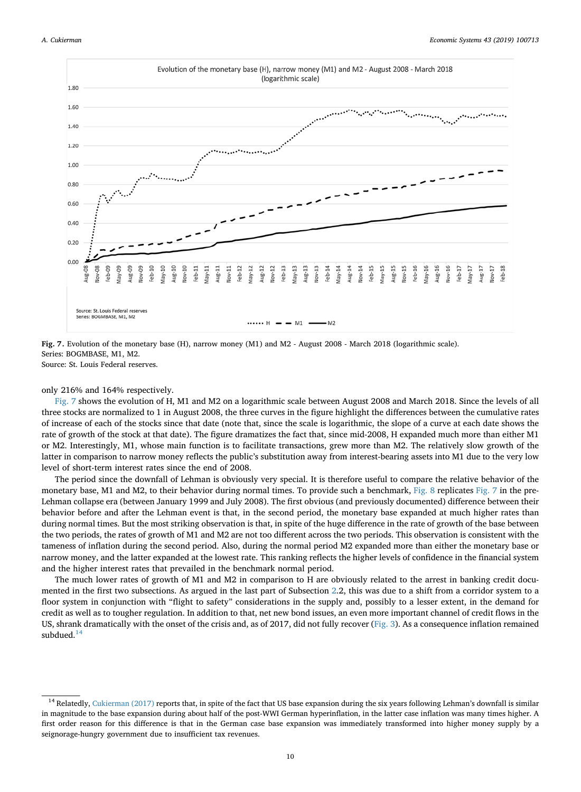<span id="page-9-0"></span>

**Fig. 7.** Evolution of the monetary base (H), narrow money (M1) and M2 - August 2008 - March 2018 (logarithmic scale). Series: BOGMBASE, M1, M2. Source: St. Louis Federal reserves.

only 216% and 164% respectively.

[Fig. 7](#page-9-0) shows the evolution of H, M1 and M2 on a logarithmic scale between August 2008 and March 2018. Since the levels of all three stocks are normalized to 1 in August 2008, the three curves in the figure highlight the differences between the cumulative rates of increase of each of the stocks since that date (note that, since the scale is logarithmic, the slope of a curve at each date shows the rate of growth of the stock at that date). The figure dramatizes the fact that, since mid-2008, H expanded much more than either M1 or M2. Interestingly, M1, whose main function is to facilitate transactions, grew more than M2. The relatively slow growth of the latter in comparison to narrow money reflects the public's substitution away from interest-bearing assets into M1 due to the very low level of short-term interest rates since the end of 2008.

The period since the downfall of Lehman is obviously very special. It is therefore useful to compare the relative behavior of the monetary base, M1 and M2, to their behavior during normal times. To provide such a benchmark, [Fig. 8](#page-10-1) replicates [Fig. 7](#page-9-0) in the pre-Lehman collapse era (between January 1999 and July 2008). The first obvious (and previously documented) difference between their behavior before and after the Lehman event is that, in the second period, the monetary base expanded at much higher rates than during normal times. But the most striking observation is that, in spite of the huge difference in the rate of growth of the base between the two periods, the rates of growth of M1 and M2 are not too different across the two periods. This observation is consistent with the tameness of inflation during the second period. Also, during the normal period M2 expanded more than either the monetary base or narrow money, and the latter expanded at the lowest rate. This ranking reflects the higher levels of confidence in the financial system and the higher interest rates that prevailed in the benchmark normal period.

The much lower rates of growth of M1 and M2 in comparison to H are obviously related to the arrest in banking credit documented in the first two subsections. As argued in the last part of Subsection [2](#page-1-1).2, this was due to a shift from a corridor system to a floor system in conjunction with "flight to safety" considerations in the supply and, possibly to a lesser extent, in the demand for credit as well as to tougher regulation. In addition to that, net new bond issues, an even more important channel of credit flows in the US, shrank dramatically with the onset of the crisis and, as of 2017, did not fully recover ([Fig. 3](#page-4-0)). As a consequence inflation remained subdued. $14$ 

<span id="page-9-1"></span> $14$  Relatedly, [Cukierman \(2017\)](#page-19-12) reports that, in spite of the fact that US base expansion during the six years following Lehman's downfall is similar in magnitude to the base expansion during about half of the post-WWI German hyperinflation, in the latter case inflation was many times higher. A first order reason for this difference is that in the German case base expansion was immediately transformed into higher money supply by a seignorage-hungry government due to insufficient tax revenues.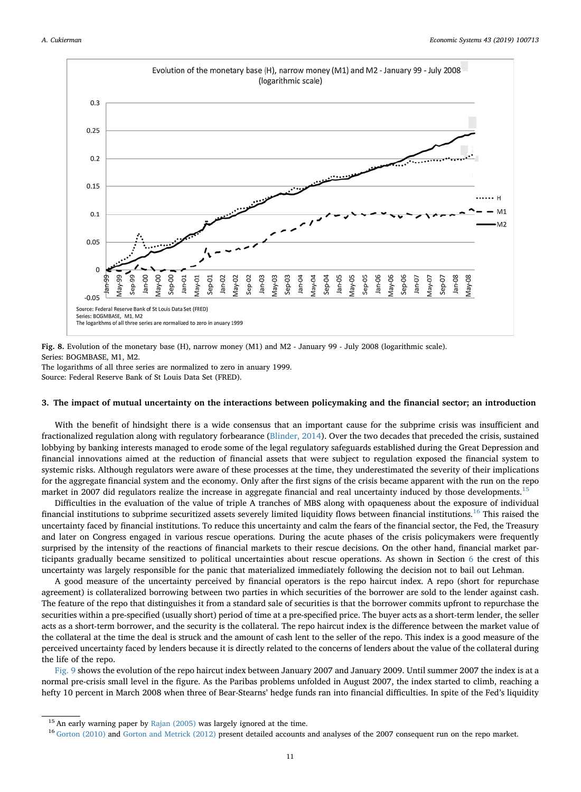<span id="page-10-1"></span>

**Fig. 8.** Evolution of the monetary base (H), narrow money (M1) and M2 - January 99 - July 2008 (logarithmic scale). Series: BOGMBASE, M1, M2.

The logarithms of all three series are normalized to zero in anuary 1999. Source: Federal Reserve Bank of St Louis Data Set (FRED).

### <span id="page-10-0"></span>**3. The impact of mutual uncertainty on the interactions between policymaking and the financial sector; an introduction**

With the benefit of hindsight there is a wide consensus that an important cause for the subprime crisis was insufficient and fractionalized regulation along with regulatory forbearance [\(Blinder, 2014](#page-19-13)). Over the two decades that preceded the crisis, sustained lobbying by banking interests managed to erode some of the legal regulatory safeguards established during the Great Depression and financial innovations aimed at the reduction of financial assets that were subject to regulation exposed the financial system to systemic risks. Although regulators were aware of these processes at the time, they underestimated the severity of their implications for the aggregate financial system and the economy. Only after the first signs of the crisis became apparent with the run on the repo market in 2007 did regulators realize the increase in aggregate financial and real uncertainty induced by those developments.<sup>1</sup>

Difficulties in the evaluation of the value of triple A tranches of MBS along with opaqueness about the exposure of individual financial institutions to subprime securitized assets severely limited liquidity flows between financial institutions.[16](#page-10-3) This raised the uncertainty faced by financial institutions. To reduce this uncertainty and calm the fears of the financial sector, the Fed, the Treasury and later on Congress engaged in various rescue operations. During the acute phases of the crisis policymakers were frequently surprised by the intensity of the reactions of financial markets to their rescue decisions. On the other hand, financial market participants gradually became sensitized to political uncertainties about rescue operations. As shown in Section [6](#page-15-0) the crest of this uncertainty was largely responsible for the panic that materialized immediately following the decision not to bail out Lehman.

A good measure of the uncertainty perceived by financial operators is the repo haircut index. A repo (short for repurchase agreement) is collateralized borrowing between two parties in which securities of the borrower are sold to the lender against cash. The feature of the repo that distinguishes it from a standard sale of securities is that the borrower commits upfront to repurchase the securities within a pre-specified (usually short) period of time at a pre-specified price. The buyer acts as a short-term lender, the seller acts as a short-term borrower, and the security is the collateral. The repo haircut index is the difference between the market value of the collateral at the time the deal is struck and the amount of cash lent to the seller of the repo. This index is a good measure of the perceived uncertainty faced by lenders because it is directly related to the concerns of lenders about the value of the collateral during the life of the repo.

[Fig. 9](#page-11-1) shows the evolution of the repo haircut index between January 2007 and January 2009. Until summer 2007 the index is at a normal pre-crisis small level in the figure. As the Paribas problems unfolded in August 2007, the index started to climb, reaching a hefty 10 percent in March 2008 when three of Bear-Stearns' hedge funds ran into financial difficulties. In spite of the Fed's liquidity

<span id="page-10-2"></span><sup>&</sup>lt;sup>15</sup> An early warning paper by [Rajan \(2005\)](#page-19-14) was largely ignored at the time.

<span id="page-10-3"></span><sup>16</sup> [Gorton \(2010\)](#page-19-15) and [Gorton and Metrick \(2012\)](#page-19-16) present detailed accounts and analyses of the 2007 consequent run on the repo market.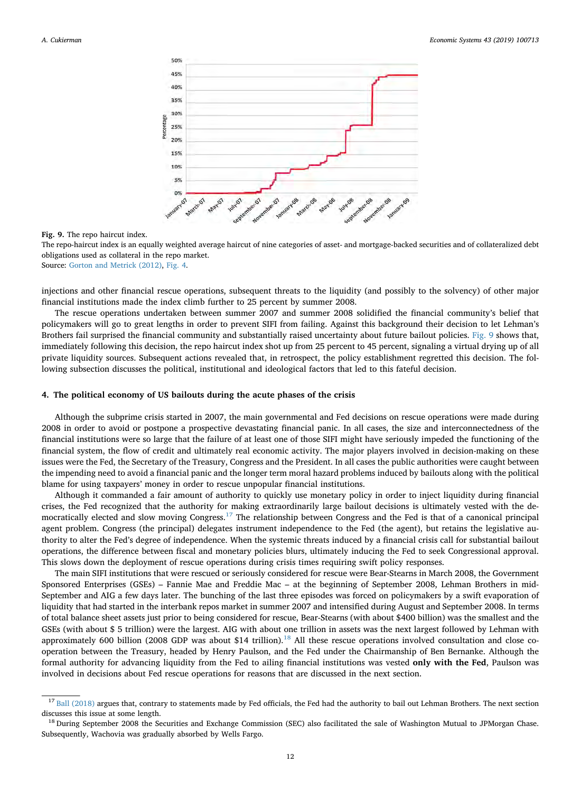<span id="page-11-1"></span>

**Fig. 9.** The repo haircut index.

The repo-haircut index is an equally weighted average haircut of nine categories of asset- and mortgage-backed securities and of collateralized debt obligations used as collateral in the repo market.

Source: [Gorton and Metrick \(2012\),](#page-19-16) [Fig. 4](#page-6-0).

injections and other financial rescue operations, subsequent threats to the liquidity (and possibly to the solvency) of other major financial institutions made the index climb further to 25 percent by summer 2008.

The rescue operations undertaken between summer 2007 and summer 2008 solidified the financial community's belief that policymakers will go to great lengths in order to prevent SIFI from failing. Against this background their decision to let Lehman's Brothers fail surprised the financial community and substantially raised uncertainty about future bailout policies. [Fig. 9](#page-11-1) shows that, immediately following this decision, the repo haircut index shot up from 25 percent to 45 percent, signaling a virtual drying up of all private liquidity sources. Subsequent actions revealed that, in retrospect, the policy establishment regretted this decision. The following subsection discusses the political, institutional and ideological factors that led to this fateful decision.

#### <span id="page-11-0"></span>**4. The political economy of US bailouts during the acute phases of the crisis**

Although the subprime crisis started in 2007, the main governmental and Fed decisions on rescue operations were made during 2008 in order to avoid or postpone a prospective devastating financial panic. In all cases, the size and interconnectedness of the financial institutions were so large that the failure of at least one of those SIFI might have seriously impeded the functioning of the financial system, the flow of credit and ultimately real economic activity. The major players involved in decision-making on these issues were the Fed, the Secretary of the Treasury, Congress and the President. In all cases the public authorities were caught between the impending need to avoid a financial panic and the longer term moral hazard problems induced by bailouts along with the political blame for using taxpayers' money in order to rescue unpopular financial institutions.

Although it commanded a fair amount of authority to quickly use monetary policy in order to inject liquidity during financial crises, the Fed recognized that the authority for making extraordinarily large bailout decisions is ultimately vested with the democratically elected and slow moving Congress.[17](#page-11-2) The relationship between Congress and the Fed is that of a canonical principal agent problem. Congress (the principal) delegates instrument independence to the Fed (the agent), but retains the legislative authority to alter the Fed's degree of independence. When the systemic threats induced by a financial crisis call for substantial bailout operations, the difference between fiscal and monetary policies blurs, ultimately inducing the Fed to seek Congressional approval. This slows down the deployment of rescue operations during crisis times requiring swift policy responses.

The main SIFI institutions that were rescued or seriously considered for rescue were Bear-Stearns in March 2008, the Government Sponsored Enterprises (GSEs) – Fannie Mae and Freddie Mac – at the beginning of September 2008, Lehman Brothers in mid-September and AIG a few days later. The bunching of the last three episodes was forced on policymakers by a swift evaporation of liquidity that had started in the interbank repos market in summer 2007 and intensified during August and September 2008. In terms of total balance sheet assets just prior to being considered for rescue, Bear-Stearns (with about \$400 billion) was the smallest and the GSEs (with about \$ 5 trillion) were the largest. AIG with about one trillion in assets was the next largest followed by Lehman with approximately 600 billion (2008 GDP was about \$14 trillion).<sup>[18](#page-11-3)</sup> All these rescue operations involved consultation and close cooperation between the Treasury, headed by Henry Paulson, and the Fed under the Chairmanship of Ben Bernanke. Although the formal authority for advancing liquidity from the Fed to ailing financial institutions was vested **only with the Fed**, Paulson was involved in decisions about Fed rescue operations for reasons that are discussed in the next section.

<span id="page-11-2"></span><sup>&</sup>lt;sup>17</sup> [Ball \(2018\)](#page-19-3) argues that, contrary to statements made by Fed officials, the Fed had the authority to bail out Lehman Brothers. The next section discusses this issue at some length.

<span id="page-11-3"></span><sup>&</sup>lt;sup>18</sup> During September 2008 the Securities and Exchange Commission (SEC) also facilitated the sale of Washington Mutual to JPMorgan Chase. Subsequently, Wachovia was gradually absorbed by Wells Fargo.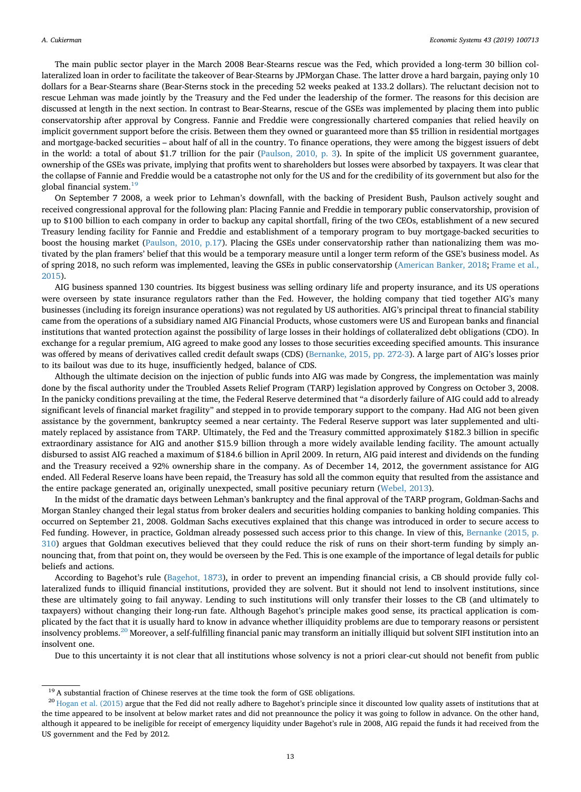The main public sector player in the March 2008 Bear-Stearns rescue was the Fed, which provided a long-term 30 billion collateralized loan in order to facilitate the takeover of Bear-Stearns by JPMorgan Chase. The latter drove a hard bargain, paying only 10 dollars for a Bear-Stearns share (Bear-Sterns stock in the preceding 52 weeks peaked at 133.2 dollars). The reluctant decision not to rescue Lehman was made jointly by the Treasury and the Fed under the leadership of the former. The reasons for this decision are discussed at length in the next section. In contrast to Bear-Stearns, rescue of the GSEs was implemented by placing them into public conservatorship after approval by Congress. Fannie and Freddie were congressionally chartered companies that relied heavily on implicit government support before the crisis. Between them they owned or guaranteed more than \$5 trillion in residential mortgages and mortgage-backed securities – about half of all in the country. To finance operations, they were among the biggest issuers of debt in the world: a total of about \$1.7 trillion for the pair ([Paulson, 2010, p. 3](#page-19-1)). In spite of the implicit US government guarantee, ownership of the GSEs was private, implying that profits went to shareholders but losses were absorbed by taxpayers. It was clear that the collapse of Fannie and Freddie would be a catastrophe not only for the US and for the credibility of its government but also for the global financial system.<sup>[19](#page-12-0)</sup>

On September 7 2008, a week prior to Lehman's downfall, with the backing of President Bush, Paulson actively sought and received congressional approval for the following plan: Placing Fannie and Freddie in temporary public conservatorship, provision of up to \$100 billion to each company in order to backup any capital shortfall, firing of the two CEOs, establishment of a new secured Treasury lending facility for Fannie and Freddie and establishment of a temporary program to buy mortgage-backed securities to boost the housing market [\(Paulson, 2010, p.17](#page-19-1)). Placing the GSEs under conservatorship rather than nationalizing them was motivated by the plan framers' belief that this would be a temporary measure until a longer term reform of the GSE's business model. As of spring 2018, no such reform was implemented, leaving the GSEs in public conservatorship [\(American Banker, 2018](#page-19-17); [Frame et al.,](#page-19-18) [2015\)](#page-19-18).

AIG business spanned 130 countries. Its biggest business was selling ordinary life and property insurance, and its US operations were overseen by state insurance regulators rather than the Fed. However, the holding company that tied together AIG's many businesses (including its foreign insurance operations) was not regulated by US authorities. AIG's principal threat to financial stability came from the operations of a subsidiary named AIG Financial Products, whose customers were US and European banks and financial institutions that wanted protection against the possibility of large losses in their holdings of collateralized debt obligations (CDO). In exchange for a regular premium, AIG agreed to make good any losses to those securities exceeding specified amounts. This insurance was offered by means of derivatives called credit default swaps (CDS) ([Bernanke, 2015, pp. 272-3\)](#page-19-0). A large part of AIG's losses prior to its bailout was due to its huge, insufficiently hedged, balance of CDS.

Although the ultimate decision on the injection of public funds into AIG was made by Congress, the implementation was mainly done by the fiscal authority under the Troubled Assets Relief Program (TARP) legislation approved by Congress on October 3, 2008. In the panicky conditions prevailing at the time, the Federal Reserve determined that "a disorderly failure of AIG could add to already significant levels of financial market fragility" and stepped in to provide temporary support to the company. Had AIG not been given assistance by the government, bankruptcy seemed a near certainty. The Federal Reserve support was later supplemented and ultimately replaced by assistance from TARP. Ultimately, the Fed and the Treasury committed approximately \$182.3 billion in specific extraordinary assistance for AIG and another \$15.9 billion through a more widely available lending facility. The amount actually disbursed to assist AIG reached a maximum of \$184.6 billion in April 2009. In return, AIG paid interest and dividends on the funding and the Treasury received a 92% ownership share in the company. As of December 14, 2012, the government assistance for AIG ended. All Federal Reserve loans have been repaid, the Treasury has sold all the common equity that resulted from the assistance and the entire package generated an, originally unexpected, small positive pecuniary return ([Webel, 2013\)](#page-19-19).

In the midst of the dramatic days between Lehman's bankruptcy and the final approval of the TARP program, Goldman-Sachs and Morgan Stanley changed their legal status from broker dealers and securities holding companies to banking holding companies. This occurred on September 21, 2008. Goldman Sachs executives explained that this change was introduced in order to secure access to Fed funding. However, in practice, Goldman already possessed such access prior to this change. In view of this, [Bernanke \(2015, p.](#page-19-0) [310](#page-19-0)) argues that Goldman executives believed that they could reduce the risk of runs on their short-term funding by simply announcing that, from that point on, they would be overseen by the Fed. This is one example of the importance of legal details for public beliefs and actions.

According to Bagehot's rule ([Bagehot, 1873](#page-19-20)), in order to prevent an impending financial crisis, a CB should provide fully collateralized funds to illiquid financial institutions, provided they are solvent. But it should not lend to insolvent institutions, since these are ultimately going to fail anyway. Lending to such institutions will only transfer their losses to the CB (and ultimately to taxpayers) without changing their long-run fate. Although Bagehot's principle makes good sense, its practical application is complicated by the fact that it is usually hard to know in advance whether illiquidity problems are due to temporary reasons or persistent insolvency problems.<sup>[20](#page-12-1)</sup> Moreover, a self-fulfilling financial panic may transform an initially illiquid but solvent SIFI institution into an insolvent one.

Due to this uncertainty it is not clear that all institutions whose solvency is not a priori clear-cut should not benefit from public

<span id="page-12-0"></span> $^{19}\,\mathrm{A}$  substantial fraction of Chinese reserves at the time took the form of GSE obligations.

<span id="page-12-1"></span> $^{20}$  [Hogan et al. \(2015\)](#page-19-21) argue that the Fed did not really adhere to Bagehot's principle since it discounted low quality assets of institutions that at the time appeared to be insolvent at below market rates and did not preannounce the policy it was going to follow in advance. On the other hand, although it appeared to be ineligible for receipt of emergency liquidity under Bagehot's rule in 2008, AIG repaid the funds it had received from the US government and the Fed by 2012.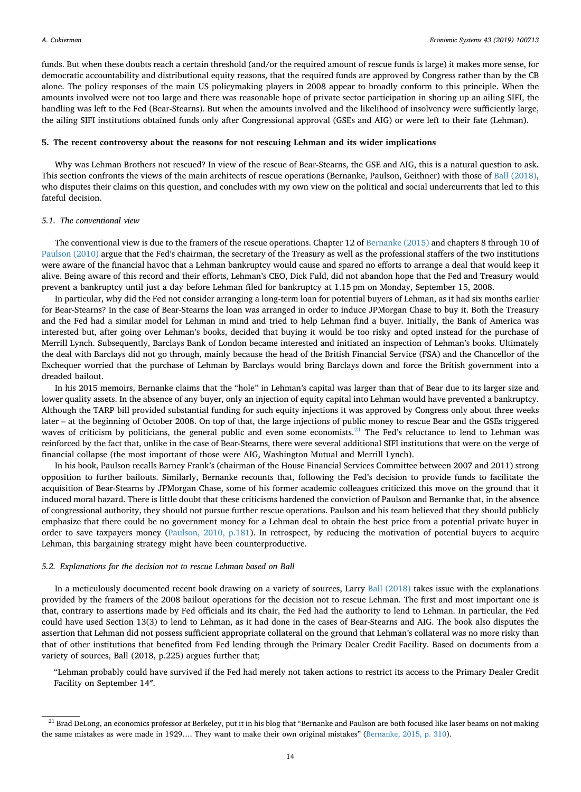funds. But when these doubts reach a certain threshold (and/or the required amount of rescue funds is large) it makes more sense, for democratic accountability and distributional equity reasons, that the required funds are approved by Congress rather than by the CB alone. The policy responses of the main US policymaking players in 2008 appear to broadly conform to this principle. When the amounts involved were not too large and there was reasonable hope of private sector participation in shoring up an ailing SIFI, the handling was left to the Fed (Bear-Stearns). But when the amounts involved and the likelihood of insolvency were sufficiently large, the ailing SIFI institutions obtained funds only after Congressional approval (GSEs and AIG) or were left to their fate (Lehman).

#### <span id="page-13-0"></span>**5. The recent controversy about the reasons for not rescuing Lehman and its wider implications**

Why was Lehman Brothers not rescued? In view of the rescue of Bear-Stearns, the GSE and AIG, this is a natural question to ask. This section confronts the views of the main architects of rescue operations (Bernanke, Paulson, Geithner) with those of [Ball \(2018\),](#page-19-3) who disputes their claims on this question, and concludes with my own view on the political and social undercurrents that led to this fateful decision.

# *5.1. The conventional view*

The conventional view is due to the framers of the rescue operations. Chapter 12 of [Bernanke \(2015\)](#page-19-0) and chapters 8 through 10 of [Paulson \(2010\)](#page-19-1) argue that the Fed's chairman, the secretary of the Treasury as well as the professional staffers of the two institutions were aware of the financial havoc that a Lehman bankruptcy would cause and spared no efforts to arrange a deal that would keep it alive. Being aware of this record and their efforts, Lehman's CEO, Dick Fuld, did not abandon hope that the Fed and Treasury would prevent a bankruptcy until just a day before Lehman filed for bankruptcy at 1.15 pm on Monday, September 15, 2008.

In particular, why did the Fed not consider arranging a long-term loan for potential buyers of Lehman, as it had six months earlier for Bear-Stearns? In the case of Bear-Stearns the loan was arranged in order to induce JPMorgan Chase to buy it. Both the Treasury and the Fed had a similar model for Lehman in mind and tried to help Lehman find a buyer. Initially, the Bank of America was interested but, after going over Lehman's books, decided that buying it would be too risky and opted instead for the purchase of Merrill Lynch. Subsequently, Barclays Bank of London became interested and initiated an inspection of Lehman's books. Ultimately the deal with Barclays did not go through, mainly because the head of the British Financial Service (FSA) and the Chancellor of the Exchequer worried that the purchase of Lehman by Barclays would bring Barclays down and force the British government into a dreaded bailout.

In his 2015 memoirs, Bernanke claims that the "hole" in Lehman's capital was larger than that of Bear due to its larger size and lower quality assets. In the absence of any buyer, only an injection of equity capital into Lehman would have prevented a bankruptcy. Although the TARP bill provided substantial funding for such equity injections it was approved by Congress only about three weeks later – at the beginning of October 2008. On top of that, the large injections of public money to rescue Bear and the GSEs triggered waves of criticism by politicians, the general public and even some economists.<sup>[21](#page-13-1)</sup> The Fed's reluctance to lend to Lehman was reinforced by the fact that, unlike in the case of Bear-Stearns, there were several additional SIFI institutions that were on the verge of financial collapse (the most important of those were AIG, Washington Mutual and Merrill Lynch).

In his book, Paulson recalls Barney Frank's (chairman of the House Financial Services Committee between 2007 and 2011) strong opposition to further bailouts. Similarly, Bernanke recounts that, following the Fed's decision to provide funds to facilitate the acquisition of Bear-Stearns by JPMorgan Chase, some of his former academic colleagues criticized this move on the ground that it induced moral hazard. There is little doubt that these criticisms hardened the conviction of Paulson and Bernanke that, in the absence of congressional authority, they should not pursue further rescue operations. Paulson and his team believed that they should publicly emphasize that there could be no government money for a Lehman deal to obtain the best price from a potential private buyer in order to save taxpayers money ([Paulson, 2010, p.181](#page-19-1)). In retrospect, by reducing the motivation of potential buyers to acquire Lehman, this bargaining strategy might have been counterproductive.

#### *5.2. Explanations for the decision not to rescue Lehman based on Ball*

In a meticulously documented recent book drawing on a variety of sources, Larry [Ball \(2018\)](#page-19-3) takes issue with the explanations provided by the framers of the 2008 bailout operations for the decision not to rescue Lehman. The first and most important one is that, contrary to assertions made by Fed officials and its chair, the Fed had the authority to lend to Lehman. In particular, the Fed could have used Section 13(3) to lend to Lehman, as it had done in the cases of Bear-Stearns and AIG. The book also disputes the assertion that Lehman did not possess sufficient appropriate collateral on the ground that Lehman's collateral was no more risky than that of other institutions that benefited from Fed lending through the Primary Dealer Credit Facility. Based on documents from a variety of sources, Ball (2018, p.225) argues further that;

"Lehman probably could have survived if the Fed had merely not taken actions to restrict its access to the Primary Dealer Credit Facility on September 14″.

<span id="page-13-1"></span> $^{21}$  Brad DeLong, an economics professor at Berkeley, put it in his blog that "Bernanke and Paulson are both focused like laser beams on not making the same mistakes as were made in 1929…. They want to make their own original mistakes" [\(Bernanke, 2015, p. 310\)](#page-19-0).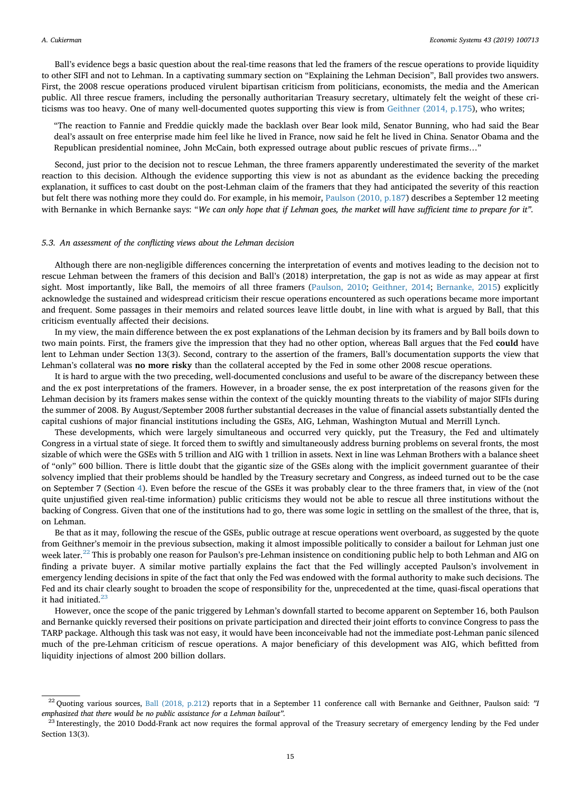Ball's evidence begs a basic question about the real-time reasons that led the framers of the rescue operations to provide liquidity to other SIFI and not to Lehman. In a captivating summary section on "Explaining the Lehman Decision", Ball provides two answers. First, the 2008 rescue operations produced virulent bipartisan criticism from politicians, economists, the media and the American public. All three rescue framers, including the personally authoritarian Treasury secretary, ultimately felt the weight of these criticisms was too heavy. One of many well-documented quotes supporting this view is from [Geithner \(2014, p.175](#page-19-2)), who writes;

"The reaction to Fannie and Freddie quickly made the backlash over Bear look mild, Senator Bunning, who had said the Bear deal's assault on free enterprise made him feel like he lived in France, now said he felt he lived in China. Senator Obama and the Republican presidential nominee, John McCain, both expressed outrage about public rescues of private firms…"

Second, just prior to the decision not to rescue Lehman, the three framers apparently underestimated the severity of the market reaction to this decision. Although the evidence supporting this view is not as abundant as the evidence backing the preceding explanation, it suffices to cast doubt on the post-Lehman claim of the framers that they had anticipated the severity of this reaction but felt there was nothing more they could do. For example, in his memoir, [Paulson \(2010, p.187](#page-19-1)) describes a September 12 meeting with Bernanke in which Bernanke says: "*We can only hope that if Lehman goes, the market will have sufficient time to prepare for it".*

# *5.3. An assessment of the conflicting views about the Lehman decision*

Although there are non-negligible differences concerning the interpretation of events and motives leading to the decision not to rescue Lehman between the framers of this decision and Ball's (2018) interpretation, the gap is not as wide as may appear at first sight. Most importantly, like Ball, the memoirs of all three framers [\(Paulson, 2010](#page-19-1); [Geithner, 2014;](#page-19-2) [Bernanke, 2015](#page-19-0)) explicitly acknowledge the sustained and widespread criticism their rescue operations encountered as such operations became more important and frequent. Some passages in their memoirs and related sources leave little doubt, in line with what is argued by Ball, that this criticism eventually affected their decisions.

In my view, the main difference between the ex post explanations of the Lehman decision by its framers and by Ball boils down to two main points. First, the framers give the impression that they had no other option, whereas Ball argues that the Fed **could** have lent to Lehman under Section 13(3). Second, contrary to the assertion of the framers, Ball's documentation supports the view that Lehman's collateral was **no more risky** than the collateral accepted by the Fed in some other 2008 rescue operations.

It is hard to argue with the two preceding, well-documented conclusions and useful to be aware of the discrepancy between these and the ex post interpretations of the framers. However, in a broader sense, the ex post interpretation of the reasons given for the Lehman decision by its framers makes sense within the context of the quickly mounting threats to the viability of major SIFIs during the summer of 2008. By August/September 2008 further substantial decreases in the value of financial assets substantially dented the capital cushions of major financial institutions including the GSEs, AIG, Lehman, Washington Mutual and Merrill Lynch.

These developments, which were largely simultaneous and occurred very quickly, put the Treasury, the Fed and ultimately Congress in a virtual state of siege. It forced them to swiftly and simultaneously address burning problems on several fronts, the most sizable of which were the GSEs with 5 trillion and AIG with 1 trillion in assets. Next in line was Lehman Brothers with a balance sheet of "only" 600 billion. There is little doubt that the gigantic size of the GSEs along with the implicit government guarantee of their solvency implied that their problems should be handled by the Treasury secretary and Congress, as indeed turned out to be the case on September 7 (Section [4](#page-11-0)). Even before the rescue of the GSEs it was probably clear to the three framers that, in view of the (not quite unjustified given real-time information) public criticisms they would not be able to rescue all three institutions without the backing of Congress. Given that one of the institutions had to go, there was some logic in settling on the smallest of the three, that is, on Lehman.

Be that as it may, following the rescue of the GSEs, public outrage at rescue operations went overboard, as suggested by the quote from Geithner's memoir in the previous subsection, making it almost impossible politically to consider a bailout for Lehman just one week later.<sup>[22](#page-14-0)</sup> This is probably one reason for Paulson's pre-Lehman insistence on conditioning public help to both Lehman and AIG on finding a private buyer. A similar motive partially explains the fact that the Fed willingly accepted Paulson's involvement in emergency lending decisions in spite of the fact that only the Fed was endowed with the formal authority to make such decisions. The Fed and its chair clearly sought to broaden the scope of responsibility for the, unprecedented at the time, quasi-fiscal operations that it had initiated. $^{23}$ 

However, once the scope of the panic triggered by Lehman's downfall started to become apparent on September 16, both Paulson and Bernanke quickly reversed their positions on private participation and directed their joint efforts to convince Congress to pass the TARP package. Although this task was not easy, it would have been inconceivable had not the immediate post-Lehman panic silenced much of the pre-Lehman criticism of rescue operations. A major beneficiary of this development was AIG, which befitted from liquidity injections of almost 200 billion dollars.

<span id="page-14-0"></span><sup>22</sup> Quoting various sources, [Ball \(2018, p.212\)](#page-19-3) reports that in a September 11 conference call with Bernanke and Geithner, Paulson said: *"I emphasized that there would be no public assistance for a Lehman bailout".*

<span id="page-14-1"></span> $^{23}$  Interestingly, the 2010 Dodd-Frank act now requires the formal approval of the Treasury secretary of emergency lending by the Fed under Section 13(3).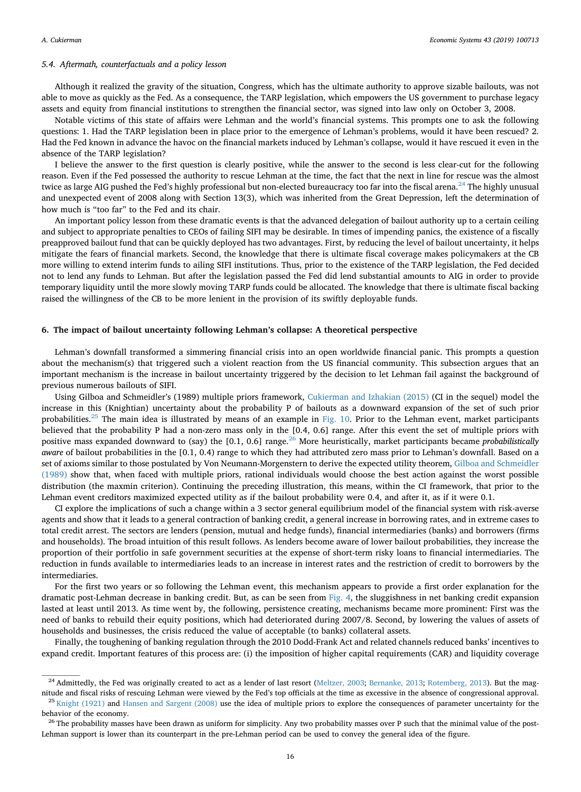#### *5.4. Aftermath, counterfactuals and a policy lesson*

Although it realized the gravity of the situation, Congress, which has the ultimate authority to approve sizable bailouts, was not able to move as quickly as the Fed. As a consequence, the TARP legislation, which empowers the US government to purchase legacy assets and equity from financial institutions to strengthen the financial sector, was signed into law only on October 3, 2008.

Notable victims of this state of affairs were Lehman and the world's financial systems. This prompts one to ask the following questions: 1. Had the TARP legislation been in place prior to the emergence of Lehman's problems, would it have been rescued? 2. Had the Fed known in advance the havoc on the financial markets induced by Lehman's collapse, would it have rescued it even in the absence of the TARP legislation?

I believe the answer to the first question is clearly positive, while the answer to the second is less clear-cut for the following reason. Even if the Fed possessed the authority to rescue Lehman at the time, the fact that the next in line for rescue was the almost twice as large AIG pushed the Fed's highly professional but non-elected bureaucracy too far into the fiscal arena.<sup>[24](#page-15-1)</sup> The highly unusual and unexpected event of 2008 along with Section 13(3), which was inherited from the Great Depression, left the determination of how much is "too far" to the Fed and its chair.

An important policy lesson from these dramatic events is that the advanced delegation of bailout authority up to a certain ceiling and subject to appropriate penalties to CEOs of failing SIFI may be desirable. In times of impending panics, the existence of a fiscally preapproved bailout fund that can be quickly deployed has two advantages. First, by reducing the level of bailout uncertainty, it helps mitigate the fears of financial markets. Second, the knowledge that there is ultimate fiscal coverage makes policymakers at the CB more willing to extend interim funds to ailing SIFI institutions. Thus, prior to the existence of the TARP legislation, the Fed decided not to lend any funds to Lehman. But after the legislation passed the Fed did lend substantial amounts to AIG in order to provide temporary liquidity until the more slowly moving TARP funds could be allocated. The knowledge that there is ultimate fiscal backing raised the willingness of the CB to be more lenient in the provision of its swiftly deployable funds.

# <span id="page-15-0"></span>**6. The impact of bailout uncertainty following Lehman's collapse: A theoretical perspective**

Lehman's downfall transformed a simmering financial crisis into an open worldwide financial panic. This prompts a question about the mechanism(s) that triggered such a violent reaction from the US financial community. This subsection argues that an important mechanism is the increase in bailout uncertainty triggered by the decision to let Lehman fail against the background of previous numerous bailouts of SIFI.

Using Gilboa and Schmeidler's (1989) multiple priors framework, [Cukierman and Izhakian \(2015\)](#page-19-22) (CI in the sequel) model the increase in this (Knightian) uncertainty about the probability P of bailouts as a downward expansion of the set of such prior probabilities[.25](#page-15-2) The main idea is illustrated by means of an example in [Fig. 10.](#page-16-0) Prior to the Lehman event, market participants believed that the probability P had a non-zero mass only in the [0.4, 0.6] range. After this event the set of multiple priors with positive mass expanded downward to (say) the [0.1, 0.6] range.<sup>[26](#page-15-3)</sup> More heuristically, market participants became *probabilistically aware* of bailout probabilities in the [0.1, 0.4) range to which they had attributed zero mass prior to Lehman's downfall. Based on a set of axioms similar to those postulated by Von Neumann-Morgenstern to derive the expected utility theorem, [Gilboa and Schmeidler](#page-19-23) [\(1989\)](#page-19-23) show that, when faced with multiple priors, rational individuals would choose the best action against the worst possible distribution (the maxmin criterion). Continuing the preceding illustration, this means, within the CI framework, that prior to the Lehman event creditors maximized expected utility as if the bailout probability were 0.4, and after it, as if it were 0.1.

CI explore the implications of such a change within a 3 sector general equilibrium model of the financial system with risk-averse agents and show that it leads to a general contraction of banking credit, a general increase in borrowing rates, and in extreme cases to total credit arrest. The sectors are lenders (pension, mutual and hedge funds), financial intermediaries (banks) and borrowers (firms and households). The broad intuition of this result follows. As lenders become aware of lower bailout probabilities, they increase the proportion of their portfolio in safe government securities at the expense of short-term risky loans to financial intermediaries. The reduction in funds available to intermediaries leads to an increase in interest rates and the restriction of credit to borrowers by the intermediaries.

For the first two years or so following the Lehman event, this mechanism appears to provide a first order explanation for the dramatic post-Lehman decrease in banking credit. But, as can be seen from [Fig. 4,](#page-6-0) the sluggishness in net banking credit expansion lasted at least until 2013. As time went by, the following, persistence creating, mechanisms became more prominent: First was the need of banks to rebuild their equity positions, which had deteriorated during 2007/8. Second, by lowering the values of assets of households and businesses, the crisis reduced the value of acceptable (to banks) collateral assets.

Finally, the toughening of banking regulation through the 2010 Dodd-Frank Act and related channels reduced banks' incentives to expand credit. Important features of this process are: (i) the imposition of higher capital requirements (CAR) and liquidity coverage

<span id="page-15-2"></span><span id="page-15-1"></span><sup>&</sup>lt;sup>24</sup> Admittedly, the Fed was originally created to act as a lender of last resort ([Meltzer, 2003;](#page-19-24) [Bernanke, 2013;](#page-19-25) [Rotemberg, 2013](#page-19-26)). But the magnitude and fiscal risks of rescuing Lehman were viewed by the Fed's top officials at the time as excessive in the absence of congressional approval.  $^{25}$  [Knight \(1921\)](#page-19-27) and [Hansen and Sargent \(2008\)](#page-19-28) use the idea of multiple priors to explore the consequences of parameter uncertainty for the behavior of the economy.

<span id="page-15-3"></span> $^{26}$  The probability masses have been drawn as uniform for simplicity. Any two probability masses over P such that the minimal value of the post-Lehman support is lower than its counterpart in the pre-Lehman period can be used to convey the general idea of the figure.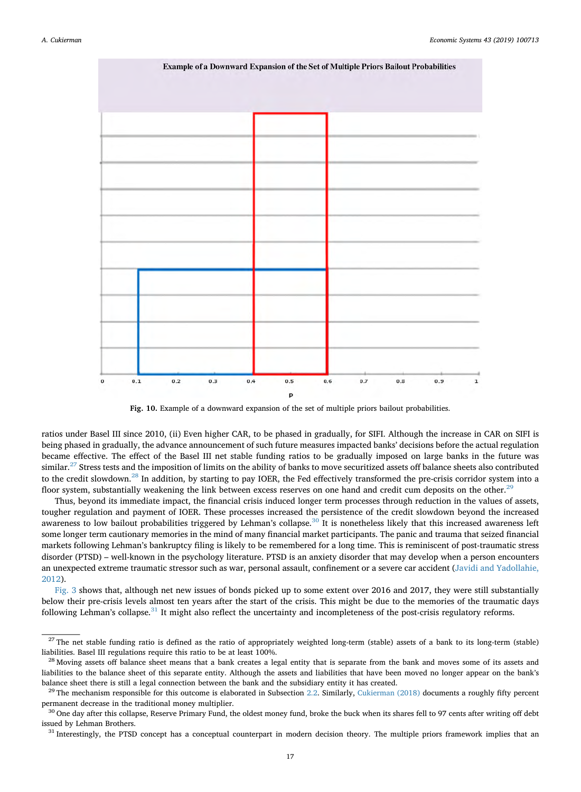<span id="page-16-0"></span>

**Fig. 10.** Example of a downward expansion of the set of multiple priors bailout probabilities.

ratios under Basel III since 2010, (ii) Even higher CAR, to be phased in gradually, for SIFI. Although the increase in CAR on SIFI is being phased in gradually, the advance announcement of such future measures impacted banks' decisions before the actual regulation became effective. The effect of the Basel III net stable funding ratios to be gradually imposed on large banks in the future was similar.<sup>[27](#page-16-1)</sup> Stress tests and the imposition of limits on the ability of banks to move securitized assets off balance sheets also contributed to the credit slowdown.<sup>28</sup> In addition, by starting to pay IOER, the Fed effectively transformed the pre-crisis corridor system into a floor system, substantially weakening the link between excess reserves on one hand and credit cum deposits on the other.<sup>[29](#page-16-3)</sup>

Thus, beyond its immediate impact, the financial crisis induced longer term processes through reduction in the values of assets, tougher regulation and payment of IOER. These processes increased the persistence of the credit slowdown beyond the increased awareness to low bailout probabilities triggered by Lehman's collapse.<sup>[30](#page-16-4)</sup> It is nonetheless likely that this increased awareness left some longer term cautionary memories in the mind of many financial market participants. The panic and trauma that seized financial markets following Lehman's bankruptcy filing is likely to be remembered for a long time. This is reminiscent of post-traumatic stress disorder (PTSD) – well-known in the psychology literature. PTSD is an anxiety disorder that may develop when a person encounters an unexpected extreme traumatic stressor such as war, personal assault, confinement or a severe car accident ([Javidi and Yadollahie,](#page-19-29) [2012\)](#page-19-29).

[Fig. 3](#page-4-0) shows that, although net new issues of bonds picked up to some extent over 2016 and 2017, they were still substantially below their pre-crisis levels almost ten years after the start of the crisis. This might be due to the memories of the traumatic days following Lehman's collapse.<sup>[31](#page-16-5)</sup> It might also reflect the uncertainty and incompleteness of the post-crisis regulatory reforms.

<span id="page-16-1"></span><sup>&</sup>lt;sup>27</sup> The net stable funding ratio is defined as the ratio of appropriately weighted long-term (stable) assets of a bank to its long-term (stable) liabilities. Basel III regulations require this ratio to be at least 100%.

<span id="page-16-2"></span><sup>&</sup>lt;sup>28</sup> Moving assets off balance sheet means that a bank creates a legal entity that is separate from the bank and moves some of its assets and liabilities to the balance sheet of this separate entity. Although the assets and liabilities that have been moved no longer appear on the bank's balance sheet there is still a legal connection between the bank and the subsidiary entity it has created.

<span id="page-16-3"></span> $^{29}$  The mechanism responsible for this outcome is elaborated in Subsection [2.2.](#page-3-2) Similarly, [Cukierman \(2018\)](#page-19-7) documents a roughly fifty percent permanent decrease in the traditional money multiplier.

<span id="page-16-4"></span> $30$  One day after this collapse, Reserve Primary Fund, the oldest money fund, broke the buck when its shares fell to 97 cents after writing off debt issued by Lehman Brothers.

<span id="page-16-5"></span><sup>&</sup>lt;sup>31</sup> Interestingly, the PTSD concept has a conceptual counterpart in modern decision theory. The multiple priors framework implies that an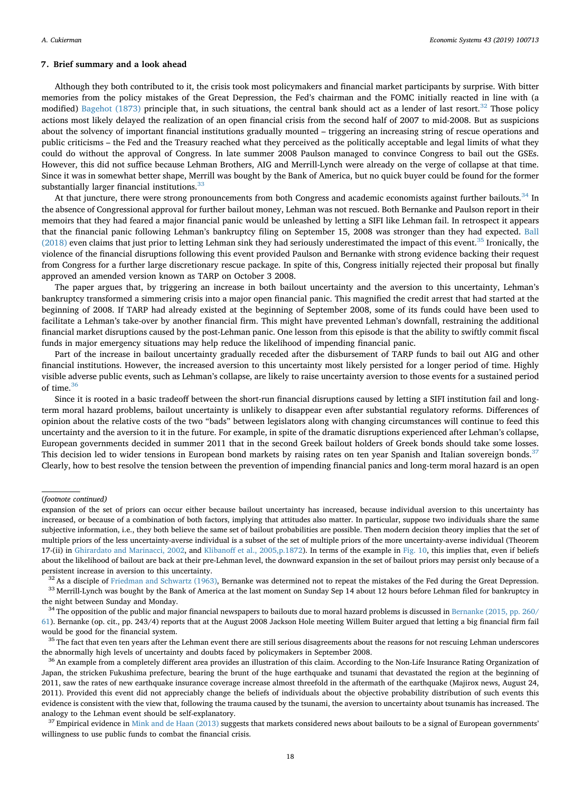# <span id="page-17-0"></span>**7. Brief summary and a look ahead**

Although they both contributed to it, the crisis took most policymakers and financial market participants by surprise. With bitter memories from the policy mistakes of the Great Depression, the Fed's chairman and the FOMC initially reacted in line with (a modified) [Bagehot \(1873\)](#page-19-20) principle that, in such situations, the central bank should act as a lender of last resort.<sup>32</sup> Those policy actions most likely delayed the realization of an open financial crisis from the second half of 2007 to mid-2008. But as suspicions about the solvency of important financial institutions gradually mounted – triggering an increasing string of rescue operations and public criticisms – the Fed and the Treasury reached what they perceived as the politically acceptable and legal limits of what they could do without the approval of Congress. In late summer 2008 Paulson managed to convince Congress to bail out the GSEs. However, this did not suffice because Lehman Brothers, AIG and Merrill-Lynch were already on the verge of collapse at that time. Since it was in somewhat better shape, Merrill was bought by the Bank of America, but no quick buyer could be found for the former substantially larger financial institutions. $33$ 

At that juncture, there were strong pronouncements from both Congress and academic economists against further bailouts.<sup>[34](#page-17-3)</sup> In the absence of Congressional approval for further bailout money, Lehman was not rescued. Both Bernanke and Paulson report in their memoirs that they had feared a major financial panic would be unleashed by letting a SIFI like Lehman fail. In retrospect it appears that the financial panic following Lehman's bankruptcy filing on September 15, 2008 was stronger than they had expected. [Ball](#page-19-3) [\(2018\)](#page-19-3) even claims that just prior to letting Lehman sink they had seriously underestimated the impact of this event.<sup>35</sup> Ironically, the violence of the financial disruptions following this event provided Paulson and Bernanke with strong evidence backing their request from Congress for a further large discretionary rescue package. In spite of this, Congress initially rejected their proposal but finally approved an amended version known as TARP on October 3 2008.

The paper argues that, by triggering an increase in both bailout uncertainty and the aversion to this uncertainty, Lehman's bankruptcy transformed a simmering crisis into a major open financial panic. This magnified the credit arrest that had started at the beginning of 2008. If TARP had already existed at the beginning of September 2008, some of its funds could have been used to facilitate a Lehman's take-over by another financial firm. This might have prevented Lehman's downfall, restraining the additional financial market disruptions caused by the post-Lehman panic. One lesson from this episode is that the ability to swiftly commit fiscal funds in major emergency situations may help reduce the likelihood of impending financial panic.

Part of the increase in bailout uncertainty gradually receded after the disbursement of TARP funds to bail out AIG and other financial institutions. However, the increased aversion to this uncertainty most likely persisted for a longer period of time. Highly visible adverse public events, such as Lehman's collapse, are likely to raise uncertainty aversion to those events for a sustained period of time.<sup>[36](#page-17-5)</sup>

Since it is rooted in a basic tradeoff between the short-run financial disruptions caused by letting a SIFI institution fail and longterm moral hazard problems, bailout uncertainty is unlikely to disappear even after substantial regulatory reforms. Differences of opinion about the relative costs of the two "bads" between legislators along with changing circumstances will continue to feed this uncertainty and the aversion to it in the future. For example, in spite of the dramatic disruptions experienced after Lehman's collapse, European governments decided in summer 2011 that in the second Greek bailout holders of Greek bonds should take some losses. This decision led to wider tensions in European bond markets by raising rates on ten year Spanish and Italian sovereign bonds.<sup>[37](#page-17-6)</sup> Clearly, how to best resolve the tension between the prevention of impending financial panics and long-term moral hazard is an open

<span id="page-17-1"></span> $32$  As a disciple of [Friedman and Schwartz \(1963\)](#page-19-32), Bernanke was determined not to repeat the mistakes of the Fed during the Great Depression.

<span id="page-17-2"></span><sup>33</sup> Merrill-Lynch was bought by the Bank of America at the last moment on Sunday Sep 14 about 12 hours before Lehman filed for bankruptcy in the night between Sunday and Monday.

<span id="page-17-3"></span><sup>34</sup> The opposition of the public and major financial newspapers to bailouts due to moral hazard problems is discussed in [Bernanke \(2015, pp. 260/](#page-19-0) [61](#page-19-0)). Bernanke (op. cit., pp. 243/4) reports that at the August 2008 Jackson Hole meeting Willem Buiter argued that letting a big financial firm fail would be good for the financial system.

<span id="page-17-4"></span> $35$  The fact that even ten years after the Lehman event there are still serious disagreements about the reasons for not rescuing Lehman underscores the abnormally high levels of uncertainty and doubts faced by policymakers in September 2008.

<sup>(</sup>*footnote continued)*

expansion of the set of priors can occur either because bailout uncertainty has increased, because individual aversion to this uncertainty has increased, or because of a combination of both factors, implying that attitudes also matter. In particular, suppose two individuals share the same subjective information, i.e., they both believe the same set of bailout probabilities are possible. Then modern decision theory implies that the set of multiple priors of the less uncertainty-averse individual is a subset of the set of multiple priors of the more uncertainty-averse individual (Theorem 17-(ii) in [Ghirardato and Marinacci, 2002,](#page-19-30) and [Klibanoff et al., 2005,p.1872\)](#page-19-31). In terms of the example in [Fig. 10](#page-16-0), this implies that, even if beliefs about the likelihood of bailout are back at their pre-Lehman level, the downward expansion in the set of bailout priors may persist only because of a persistent increase in aversion to this uncertainty.

<span id="page-17-5"></span><sup>&</sup>lt;sup>36</sup> An example from a completely different area provides an illustration of this claim. According to the Non-Life Insurance Rating Organization of Japan, the stricken Fukushima prefecture, bearing the brunt of the huge earthquake and tsunami that devastated the region at the beginning of 2011, saw the rates of new earthquake insurance coverage increase almost threefold in the aftermath of the earthquake (Majirox news, August 24, 2011). Provided this event did not appreciably change the beliefs of individuals about the objective probability distribution of such events this evidence is consistent with the view that, following the trauma caused by the tsunami, the aversion to uncertainty about tsunamis has increased. The analogy to the Lehman event should be self-explanatory.

<span id="page-17-6"></span> $37$  Empirical evidence in [Mink and de Haan \(2013\)](#page-19-33) suggests that markets considered news about bailouts to be a signal of European governments' willingness to use public funds to combat the financial crisis.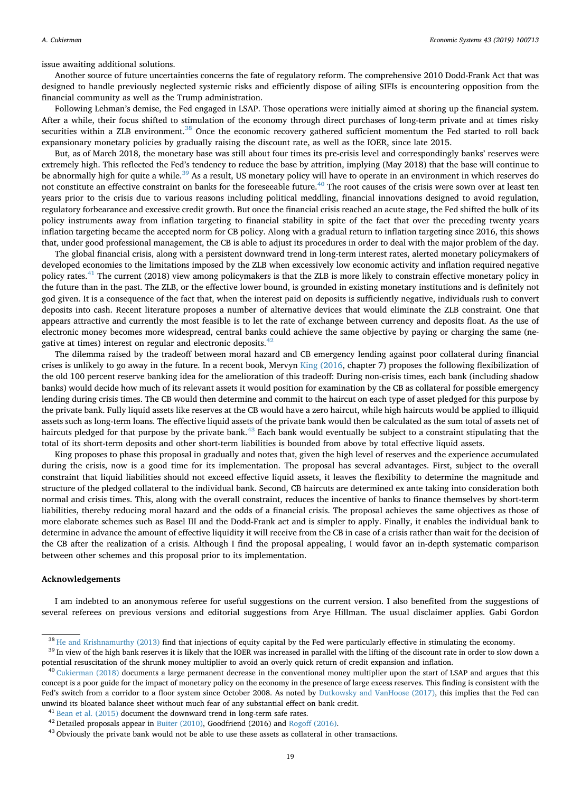issue awaiting additional solutions.

Another source of future uncertainties concerns the fate of regulatory reform. The comprehensive 2010 Dodd-Frank Act that was designed to handle previously neglected systemic risks and efficiently dispose of ailing SIFIs is encountering opposition from the financial community as well as the Trump administration.

Following Lehman's demise, the Fed engaged in LSAP. Those operations were initially aimed at shoring up the financial system. After a while, their focus shifted to stimulation of the economy through direct purchases of long-term private and at times risky securities within a ZLB environment.<sup>[38](#page-18-0)</sup> Once the economic recovery gathered sufficient momentum the Fed started to roll back expansionary monetary policies by gradually raising the discount rate, as well as the IOER, since late 2015.

But, as of March 2018, the monetary base was still about four times its pre-crisis level and correspondingly banks' reserves were extremely high. This reflected the Fed's tendency to reduce the base by attrition, implying (May 2018) that the base will continue to be abnormally high for quite a while.<sup>[39](#page-18-1)</sup> As a result, US monetary policy will have to operate in an environment in which reserves do not constitute an effective constraint on banks for the foreseeable future.<sup>[40](#page-18-2)</sup> The root causes of the crisis were sown over at least ten years prior to the crisis due to various reasons including political meddling, financial innovations designed to avoid regulation, regulatory forbearance and excessive credit growth. But once the financial crisis reached an acute stage, the Fed shifted the bulk of its policy instruments away from inflation targeting to financial stability in spite of the fact that over the preceding twenty years inflation targeting became the accepted norm for CB policy. Along with a gradual return to inflation targeting since 2016, this shows that, under good professional management, the CB is able to adjust its procedures in order to deal with the major problem of the day.

The global financial crisis, along with a persistent downward trend in long-term interest rates, alerted monetary policymakers of developed economies to the limitations imposed by the ZLB when excessively low economic activity and inflation required negative policy rates.<sup>[41](#page-18-3)</sup> The current (2018) view among policymakers is that the ZLB is more likely to constrain effective monetary policy in the future than in the past. The ZLB, or the effective lower bound, is grounded in existing monetary institutions and is definitely not god given. It is a consequence of the fact that, when the interest paid on deposits is sufficiently negative, individuals rush to convert deposits into cash. Recent literature proposes a number of alternative devices that would eliminate the ZLB constraint. One that appears attractive and currently the most feasible is to let the rate of exchange between currency and deposits float. As the use of electronic money becomes more widespread, central banks could achieve the same objective by paying or charging the same (negative at times) interest on regular and electronic deposits.  $42$ 

The dilemma raised by the tradeoff between moral hazard and CB emergency lending against poor collateral during financial crises is unlikely to go away in the future. In a recent book, Mervyn [King \(2016](#page-19-34), chapter 7) proposes the following flexibilization of the old 100 percent reserve banking idea for the amelioration of this tradeoff: During non-crisis times, each bank (including shadow banks) would decide how much of its relevant assets it would position for examination by the CB as collateral for possible emergency lending during crisis times. The CB would then determine and commit to the haircut on each type of asset pledged for this purpose by the private bank. Fully liquid assets like reserves at the CB would have a zero haircut, while high haircuts would be applied to illiquid assets such as long-term loans. The effective liquid assets of the private bank would then be calculated as the sum total of assets net of haircuts pledged for that purpose by the private bank.<sup>[43](#page-18-5)</sup> Each bank would eventually be subject to a constraint stipulating that the total of its short-term deposits and other short-term liabilities is bounded from above by total effective liquid assets.

King proposes to phase this proposal in gradually and notes that, given the high level of reserves and the experience accumulated during the crisis, now is a good time for its implementation. The proposal has several advantages. First, subject to the overall constraint that liquid liabilities should not exceed effective liquid assets, it leaves the flexibility to determine the magnitude and structure of the pledged collateral to the individual bank. Second, CB haircuts are determined ex ante taking into consideration both normal and crisis times. This, along with the overall constraint, reduces the incentive of banks to finance themselves by short-term liabilities, thereby reducing moral hazard and the odds of a financial crisis. The proposal achieves the same objectives as those of more elaborate schemes such as Basel III and the Dodd-Frank act and is simpler to apply. Finally, it enables the individual bank to determine in advance the amount of effective liquidity it will receive from the CB in case of a crisis rather than wait for the decision of the CB after the realization of a crisis. Although I find the proposal appealing, I would favor an in-depth systematic comparison between other schemes and this proposal prior to its implementation.

#### **Acknowledgements**

I am indebted to an anonymous referee for useful suggestions on the current version. I also benefited from the suggestions of several referees on previous versions and editorial suggestions from Arye Hillman. The usual disclaimer applies. Gabi Gordon

<span id="page-18-0"></span><sup>&</sup>lt;sup>38</sup> [He and Krishnamurthy \(2013\)](#page-19-35) find that injections of equity capital by the Fed were particularly effective in stimulating the economy.

<span id="page-18-1"></span><sup>&</sup>lt;sup>39</sup> In view of the high bank reserves it is likely that the IOER was increased in parallel with the lifting of the discount rate in order to slow down a potential resuscitation of the shrunk money multiplier to avoid an overly quick return of credit expansion and inflation.

<span id="page-18-2"></span> $40$  [Cukierman \(2018\)](#page-19-7) documents a large permanent decrease in the conventional money multiplier upon the start of LSAP and argues that this concept is a poor guide for the impact of monetary policy on the economy in the presence of large excess reserves. This finding is consistent with the Fed's switch from a corridor to a floor system since October 2008. As noted by [Dutkowsky and VanHoose \(2017\),](#page-19-8) this implies that the Fed can unwind its bloated balance sheet without much fear of any substantial effect on bank credit.

<span id="page-18-3"></span><sup>&</sup>lt;sup>41</sup> [Bean et al. \(2015\)](#page-19-36) document the downward trend in long-term safe rates.

<span id="page-18-4"></span> $42$  Detailed proposals appear in [Buiter \(2010\)](#page-19-37), Goodfriend (2016) and [Rogoff \(2016\).](#page-19-38)

<span id="page-18-5"></span><sup>&</sup>lt;sup>43</sup> Obviously the private bank would not be able to use these assets as collateral in other transactions.